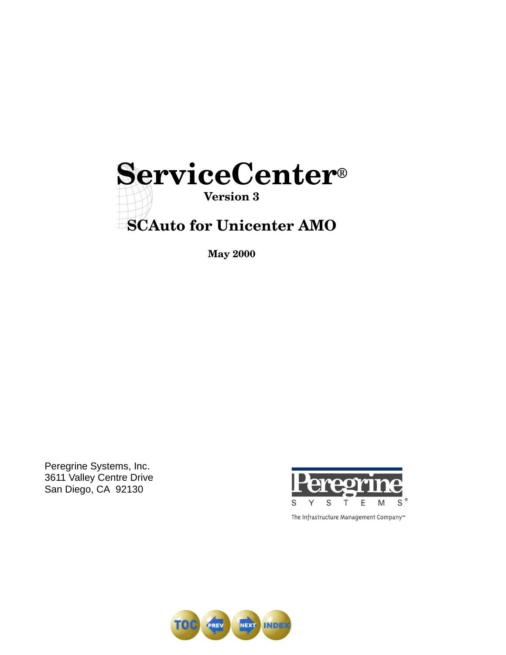

# **SCAuto for Unicenter AMO**

**May 2000**

Peregrine Systems, Inc. 3611 Valley Centre Drive San Diego, CA 92130



The Infrastructure Management Company™

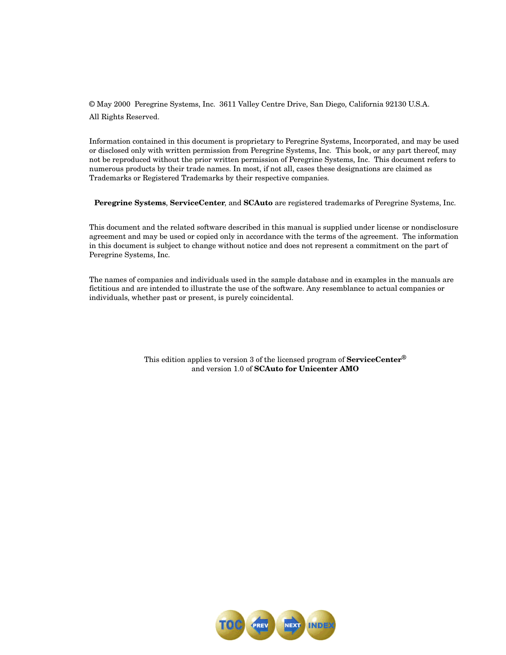© May 2000 Peregrine Systems, Inc. 3611 Valley Centre Drive, San Diego, California 92130 U.S.A. All Rights Reserved.

Information contained in this document is proprietary to Peregrine Systems, Incorporated, and may be used or disclosed only with written permission from Peregrine Systems, Inc. This book, or any part thereof, may not be reproduced without the prior written permission of Peregrine Systems, Inc. This document refers to numerous products by their trade names. In most, if not all, cases these designations are claimed as Trademarks or Registered Trademarks by their respective companies.

**Peregrine Systems**, **ServiceCenter**, and **SCAuto** are registered trademarks of Peregrine Systems, Inc.

This document and the related software described in this manual is supplied under license or nondisclosure agreement and may be used or copied only in accordance with the terms of the agreement. The information in this document is subject to change without notice and does not represent a commitment on the part of Peregrine Systems, Inc.

The names of companies and individuals used in the sample database and in examples in the manuals are fictitious and are intended to illustrate the use of the software. Any resemblance to actual companies or individuals, whether past or present, is purely coincidental.

> This edition applies to version 3 of the licensed program of **ServiceCenter**® and version 1.0 of **SCAuto for Unicenter AMO**

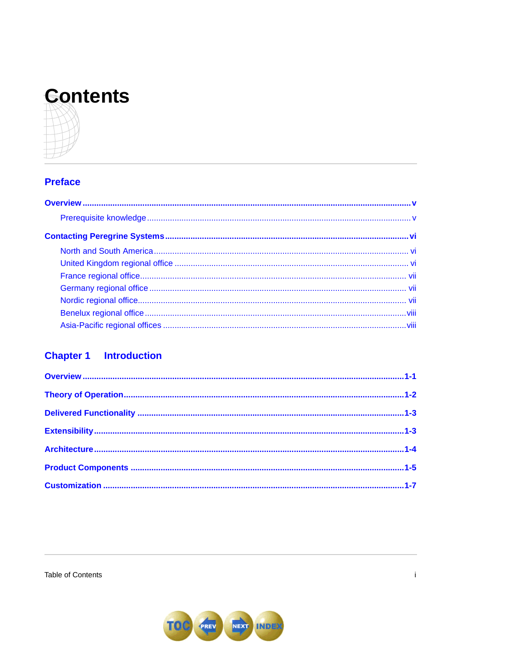# **Contents**

# **Preface**

# **Chapter 1** Introduction

**Table of Contents** 

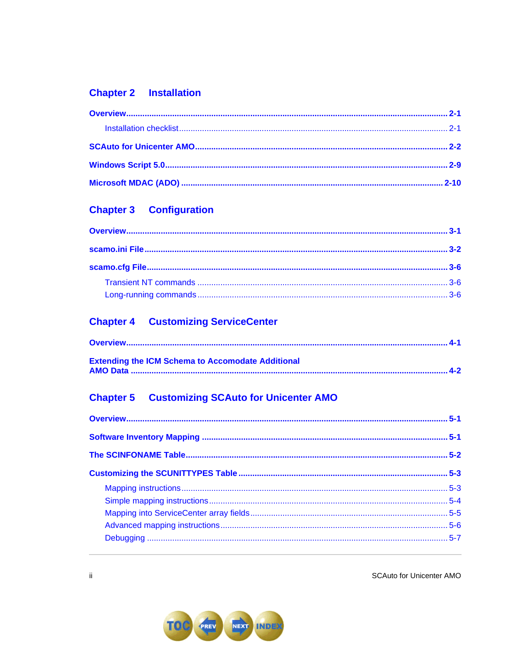# <span id="page-3-0"></span>**Chapter 2 Installation**

# **Chapter 3 Configuration**

## **Chapter 4 Customizing ServiceCenter**

| <b>Extending the ICM Schema to Accomodate Additional</b> |  |
|----------------------------------------------------------|--|
|                                                          |  |

# **Chapter 5 Customizing SCAuto for Unicenter AMO**

SCAuto for Unicenter AMO

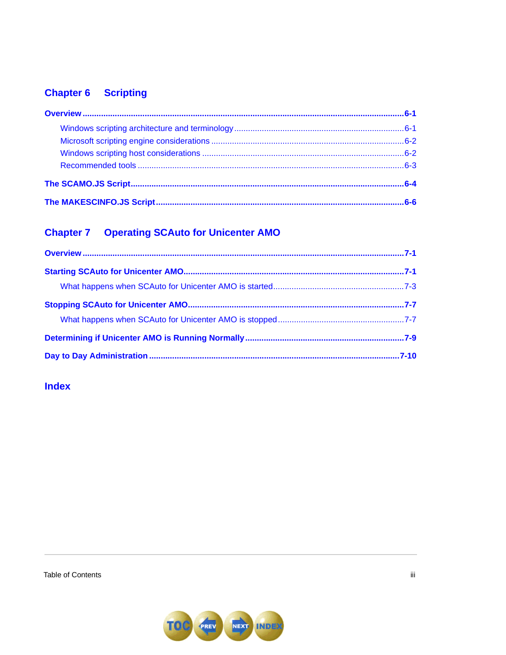# **Chapter 6 Scripting**

# **Chapter 7 Operating SCAuto for Unicenter AMO**

# **Index**

Table of Contents

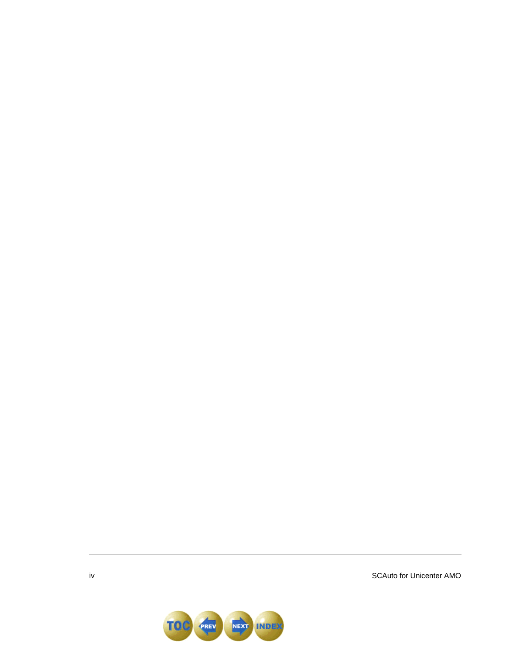iv SCAuto for Unicenter AMO

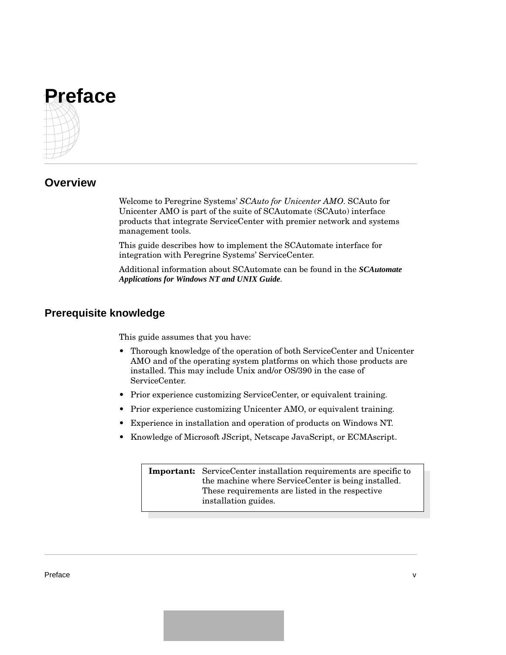<span id="page-6-0"></span>

## **Overview**

Welcome to Peregrine Systems' *SCAuto for Unicenter AMO*. SCAuto for Unicenter AMO is part of the suite of SCAutomate (SCAuto) interface products that integrate ServiceCenter with premier network and systems management tools.

This guide describes how to implement the SCAutomate interface for integration with Peregrine Systems' ServiceCenter.

Additional information about SCAutomate can be found in the *SCAutomate Applications for Windows NT and UNIX Guide*.

## **Prerequisite knowledge**

This guide assumes that you have:

- Thorough knowledge of the operation of both ServiceCenter and Unicenter AMO and of the operating system platforms on which those products are installed. This may include Unix and/or OS/390 in the case of ServiceCenter.
- Prior experience customizing ServiceCenter, or equivalent training.
- Prior experience customizing Unicenter AMO, or equivalent training.
- Experience in installation and operation of products on Windows NT.
- Knowledge of Microsoft JScript, Netscape JavaScript, or ECMAscript.

**Important:** ServiceCenter installation requirements are specific to the machine where ServiceCenter is being installed. These requirements are listed in the respective installation guides.

#### Preface and the contract of the contract of the contract of the contract of the contract of the contract of the contract of the contract of the contract of the contract of the contract of the contract of the contract of th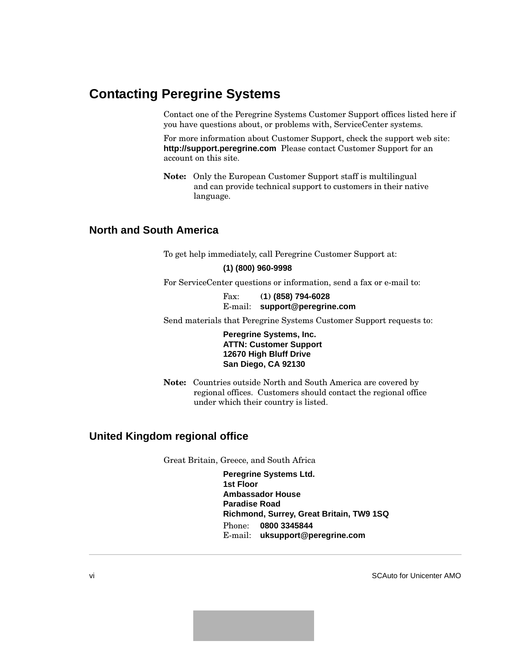# <span id="page-7-0"></span>**Contacting Peregrine Systems**

Contact one of the Peregrine Systems Customer Support offices listed here if you have questions about, or problems with, ServiceCenter systems.

For more information about Customer Support, check the support web site: **http://support.peregrine.com** Please contact Customer Support for an account on this site.

**Note:** Only the European Customer Support staff is multilingual and can provide technical support to customers in their native language.

## **North and South America**

To get help immediately, call Peregrine Customer Support at:

#### **(1) (800) 960-9998**

For ServiceCenter questions or information, send a fax or e-mail to:

Fax: **(1) (858) 794-6028** E-mail: **support@peregrine.com**

Send materials that Peregrine Systems Customer Support requests to:

**Peregrine Systems, Inc. ATTN: Customer Support 12670 High Bluff Drive San Diego, CA 92130** 

**Note:** Countries outside North and South America are covered by regional offices. Customers should contact the regional office under which their country is listed.

### **United Kingdom regional office**

Great Britain, Greece, and South Africa

**Peregrine Systems Ltd. 1st Floor Ambassador House Paradise Road Richmond, Surrey, Great Britain, TW9 1SQ** Phone: **0800 3345844** E-mail: **uksupport@peregrine.com**

vi SCAuto for Unicenter AMO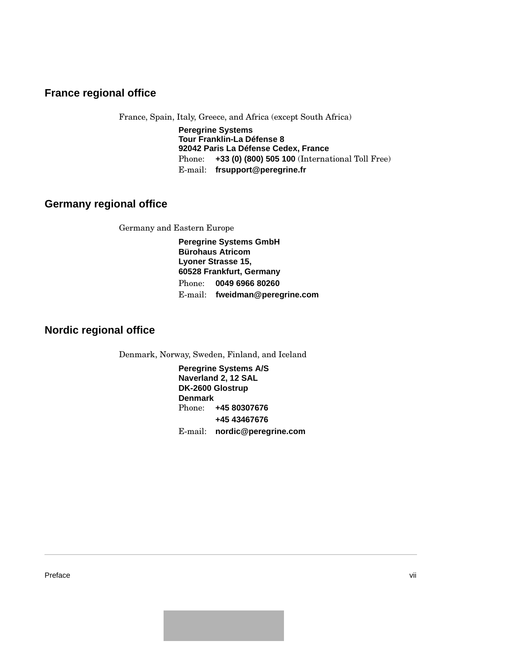### **France regional office**

France, Spain, Italy, Greece, and Africa (except South Africa)

**Peregrine Systems Tour Franklin-La Défense 8 92042 Paris La Défense Cedex, France** Phone: **+33 (0) (800) 505 100** (International Toll Free) E-mail: **frsupport@peregrine.fr**

### **Germany regional office**

Germany and Eastern Europe

**Peregrine Systems GmbH Bürohaus Atricom Lyoner Strasse 15, 60528 Frankfurt, Germany** Phone: **0049 6966 80260** E-mail: **fweidman@peregrine.com**

## **Nordic regional office**

Denmark, Norway, Sweden, Finland, and Iceland

**Peregrine Systems A/S Naverland 2, 12 SAL DK-2600 Glostrup Denmark** Phone: **+45 80307676 +45 43467676** E-mail: **nordic@peregrine.com**

Preface viii and the contract of the contract of the contract of the contract of the contract of the contract of the contract of the contract of the contract of the contract of the contract of the contract of the contract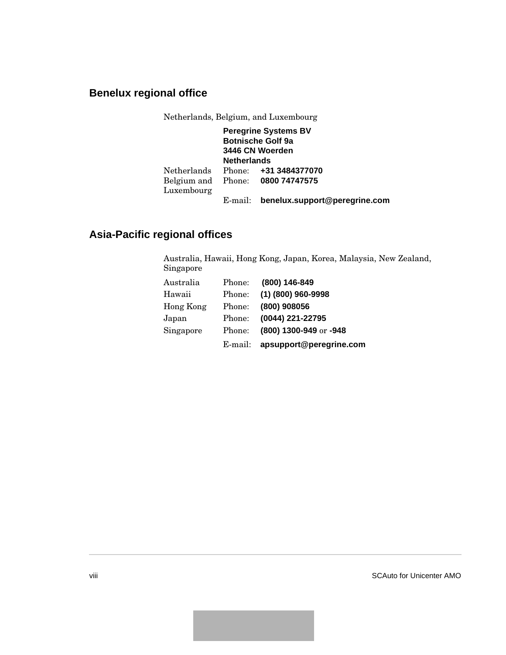## <span id="page-9-0"></span>**Benelux regional office**

Netherlands, Belgium, and Luxembourg

**Peregrine Systems BV Botnische Golf 9a 3446 CN Woerden Netherlands** Netherlands Phone: **+31 3484377070** Belgium and Phone: **0800 74747575** Luxembourg E-mail: **benelux.support@peregrine.com**

# **Asia-Pacific regional offices**

Australia, Hawaii, Hong Kong, Japan, Korea, Malaysia, New Zealand, Singapore

| Australia |        | Phone: (800) 146-849            |
|-----------|--------|---------------------------------|
| Hawaii    | Phone: | $(1)$ (800) 960-9998            |
| Hong Kong | Phone: | (800) 908056                    |
| Japan     | Phone: | (0044) 221-22795                |
| Singapore | Phone: | (800) 1300-949 or -948          |
|           |        | E-mail: apsupport@peregrine.com |

viii SCAuto for Unicenter AMO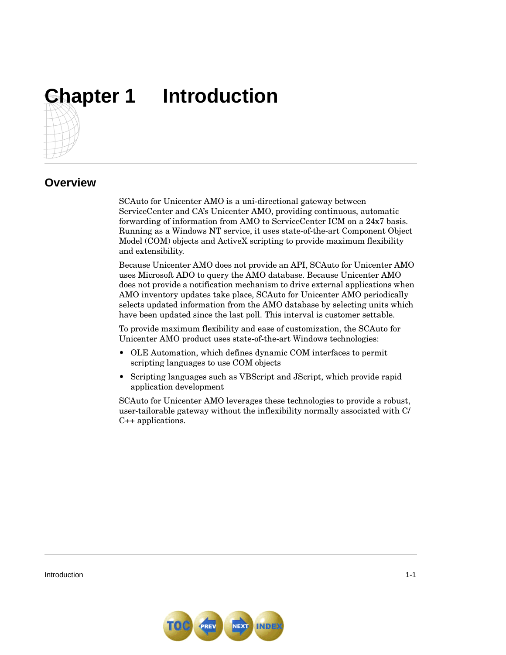# <span id="page-10-0"></span>**Chapter 1 Introduction**

## **Overview**

SCAuto for Unicenter AMO is a uni-directional gateway between ServiceCenter and CA's Unicenter AMO, providing continuous, automatic forwarding of information from AMO to ServiceCenter ICM on a 24x7 basis. Running as a Windows NT service, it uses state-of-the-art Component Object Model (COM) objects and ActiveX scripting to provide maximum flexibility and extensibility.

Because Unicenter AMO does not provide an API, SCAuto for Unicenter AMO uses Microsoft ADO to query the AMO database. Because Unicenter AMO does not provide a notification mechanism to drive external applications when AMO inventory updates take place, SCAuto for Unicenter AMO periodically selects updated information from the AMO database by selecting units which have been updated since the last poll. This interval is customer settable.

To provide maximum flexibility and ease of customization, the SCAuto for Unicenter AMO product uses state-of-the-art Windows technologies:

- OLE Automation, which defines dynamic COM interfaces to permit scripting languages to use COM objects
- Scripting languages such as VBScript and JScript, which provide rapid application development

SCAuto for Unicenter AMO leverages these technologies to provide a robust, user-tailorable gateway without the inflexibility normally associated with C/ C++ applications.

Introduction 1-1

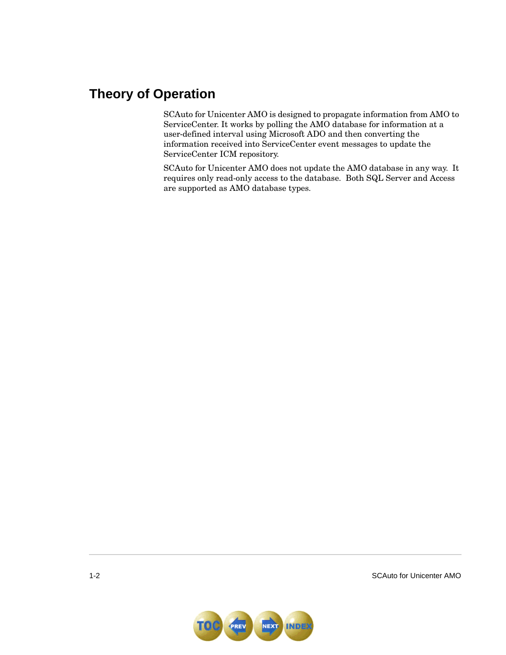# <span id="page-11-0"></span>**Theory of Operation**

SCAuto for Unicenter AMO is designed to propagate information from AMO to ServiceCenter. It works by polling the AMO database for information at a user-defined interval using Microsoft ADO and then converting the information received into ServiceCenter event messages to update the ServiceCenter ICM repository.

SCAuto for Unicenter AMO does not update the AMO database in any way. It requires only read-only access to the database. Both SQL Server and Access are supported as AMO database types.

1-2 SCAuto for Unicenter AMO

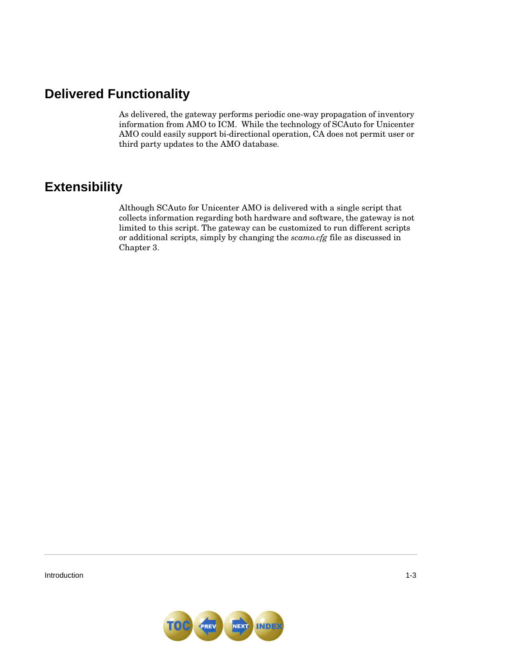# <span id="page-12-0"></span>**Delivered Functionality**

As delivered, the gateway performs periodic one-way propagation of inventory information from AMO to ICM. While the technology of SCAuto for Unicenter AMO could easily support bi-directional operation, CA does not permit user or third party updates to the AMO database.

# **Extensibility**

Although SCAuto for Unicenter AMO is delivered with a single script that collects information regarding both hardware and software, the gateway is not limited to this script. The gateway can be customized to run different scripts or additional scripts, simply by changing the *scamo.cfg* file as discussed in Chapter 3.

Introduction 1-3

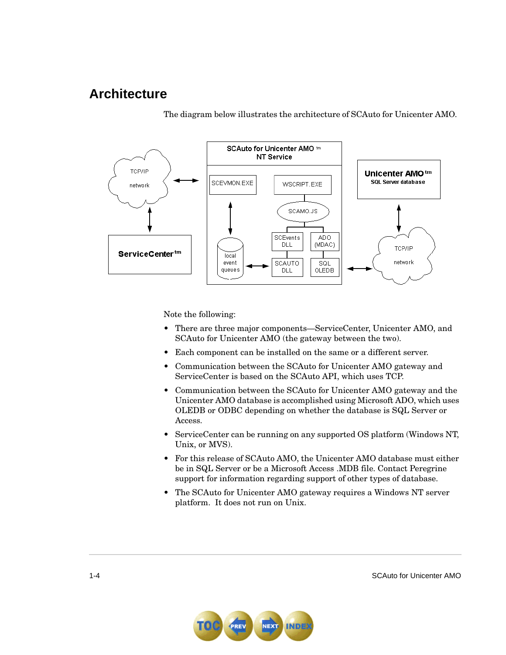# <span id="page-13-0"></span>**Architecture**



The diagram below illustrates the architecture of SCAuto for Unicenter AMO.

Note the following:

- There are three major components—ServiceCenter, Unicenter AMO, and SCAuto for Unicenter AMO (the gateway between the two).
- Each component can be installed on the same or a different server.
- Communication between the SCAuto for Unicenter AMO gateway and ServiceCenter is based on the SCAuto API, which uses TCP.
- Communication between the SCAuto for Unicenter AMO gateway and the Unicenter AMO database is accomplished using Microsoft ADO, which uses OLEDB or ODBC depending on whether the database is SQL Server or Access.
- ServiceCenter can be running on any supported OS platform (Windows NT, Unix, or MVS).
- For this release of SCAuto AMO, the Unicenter AMO database must either be in SQL Server or be a Microsoft Access .MDB file. Contact Peregrine support for information regarding support of other types of database.
- The SCAuto for Unicenter AMO gateway requires a Windows NT server platform. It does not run on Unix.



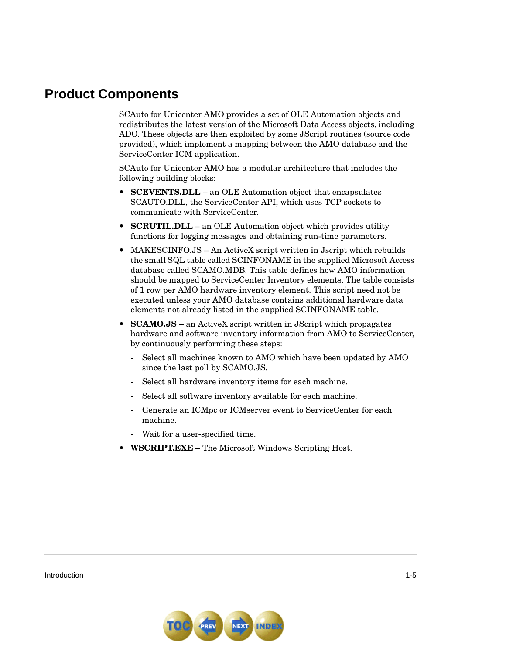# <span id="page-14-0"></span>**Product Components**

SCAuto for Unicenter AMO provides a set of OLE Automation objects and redistributes the latest version of the Microsoft Data Access objects, including ADO. These objects are then exploited by some JScript routines (source code provided), which implement a mapping between the AMO database and the ServiceCenter ICM application.

SCAuto for Unicenter AMO has a modular architecture that includes the following building blocks:

- **SCEVENTS.DLL** an OLE Automation object that encapsulates SCAUTO.DLL, the ServiceCenter API, which uses TCP sockets to communicate with ServiceCenter.
- **SCRUTIL.DLL** an OLE Automation object which provides utility functions for logging messages and obtaining run-time parameters.
- MAKESCINFO.JS An ActiveX script written in Jscript which rebuilds the small SQL table called SCINFONAME in the supplied Microsoft Access database called SCAMO.MDB. This table defines how AMO information should be mapped to ServiceCenter Inventory elements. The table consists of 1 row per AMO hardware inventory element. This script need not be executed unless your AMO database contains additional hardware data elements not already listed in the supplied SCINFONAME table.
- **SCAMO.JS** an ActiveX script written in JScript which propagates hardware and software inventory information from AMO to ServiceCenter, by continuously performing these steps:
	- Select all machines known to AMO which have been updated by AMO since the last poll by SCAMO.JS.
	- Select all hardware inventory items for each machine.
	- Select all software inventory available for each machine.
	- Generate an ICMpc or ICMserver event to ServiceCenter for each machine.
	- Wait for a user-specified time.
- **WSCRIPT.EXE** The Microsoft Windows Scripting Host.

Introduction 1-5

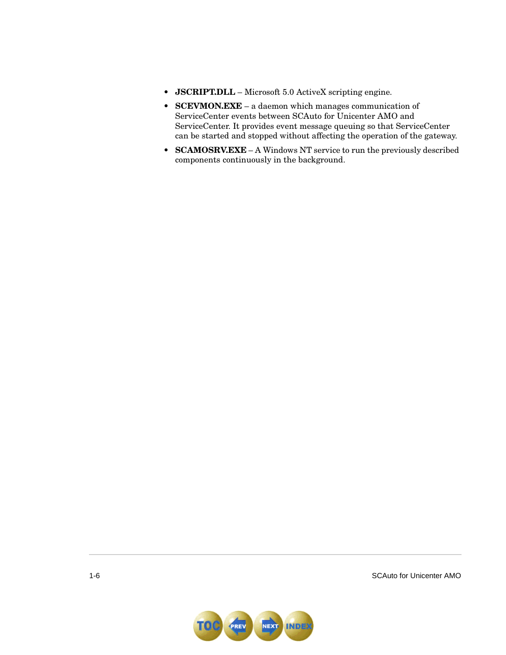- <span id="page-15-0"></span>• **JSCRIPT.DLL** – Microsoft 5.0 ActiveX scripting engine.
- **SCEVMON.EXE** a daemon which manages communication of ServiceCenter events between SCAuto for Unicenter AMO and ServiceCenter. It provides event message queuing so that ServiceCenter can be started and stopped without affecting the operation of the gateway.
- **SCAMOSRV.EXE** A Windows NT service to run the previously described components continuously in the background.

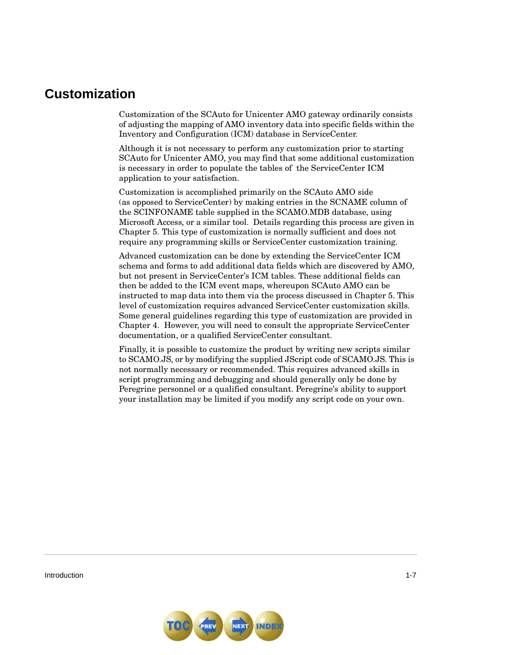# <span id="page-16-0"></span>**Customization**

Customization of the SCAuto for Unicenter AMO gateway ordinarily consists of adjusting the mapping of AMO inventory data into specific fields within the Inventory and Configuration (ICM) database in ServiceCenter.

Although it is not necessary to perform any customization prior to starting SCAuto for Unicenter AMO, you may find that some additional customization is necessary in order to populate the tables of the ServiceCenter ICM application to your satisfaction.

Customization is accomplished primarily on the SCAuto AMO side (as opposed to ServiceCenter) by making entries in the SCNAME column of the SCINFONAME table supplied in the SCAMO.MDB database, using Microsoft Access, or a similar tool. Details regarding this process are given in Chapter 5. This type of customization is normally sufficient and does not require any programming skills or ServiceCenter customization training.

Advanced customization can be done by extending the ServiceCenter ICM schema and forms to add additional data fields which are discovered by AMO, but not present in ServiceCenter's ICM tables. These additional fields can then be added to the ICM event maps, whereupon SCAuto AMO can be instructed to map data into them via the process discussed in Chapter 5. This level of customization requires advanced ServiceCenter customization skills. Some general guidelines regarding this type of customization are provided in Chapter 4. However, you will need to consult the appropriate ServiceCenter documentation, or a qualified ServiceCenter consultant.

Finally, it is possible to customize the product by writing new scripts similar to SCAMO.JS, or by modifying the supplied JScript code of SCAMO.JS. This is not normally necessary or recommended. This requires advanced skills in script programming and debugging and should generally only be done by Peregrine personnel or a qualified consultant. Peregrine's ability to support your installation may be limited if you modify any script code on your own.

Introduction 1-7

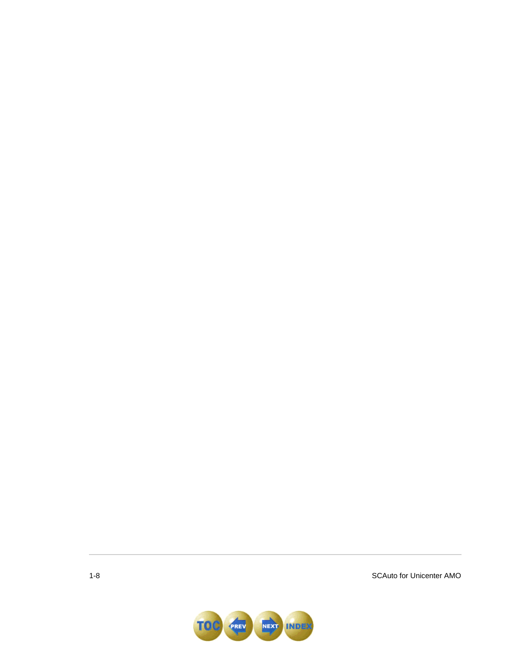1-8 SCAuto for Unicenter AMO

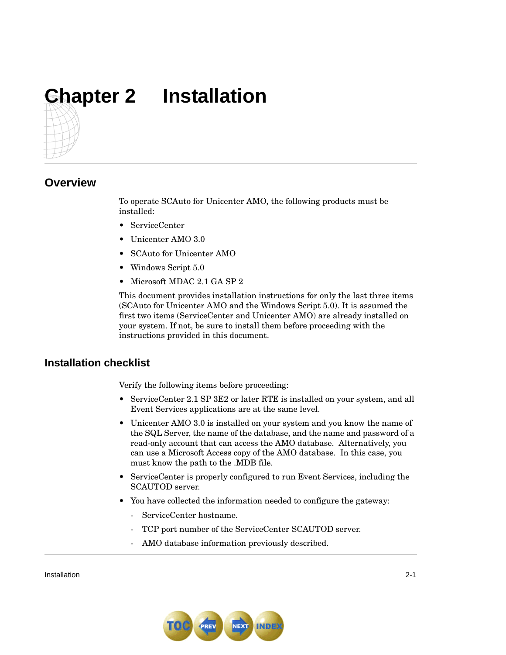# <span id="page-18-0"></span>**Chapter 2 Installation**

# **Overview**

To operate SCAuto for Unicenter AMO, the following products must be installed:

- ServiceCenter
- Unicenter AMO 3.0
- SCAuto for Unicenter AMO
- Windows Script 5.0
- Microsoft MDAC 2.1 GA SP 2

This document provides installation instructions for only the last three items (SCAuto for Unicenter AMO and the Windows Script 5.0). It is assumed the first two items (ServiceCenter and Unicenter AMO) are already installed on your system. If not, be sure to install them before proceeding with the instructions provided in this document.

### **Installation checklist**

Verify the following items before proceeding:

- ServiceCenter 2.1 SP 3E2 or later RTE is installed on your system, and all Event Services applications are at the same level.
- Unicenter AMO 3.0 is installed on your system and you know the name of the SQL Server, the name of the database, and the name and password of a read-only account that can access the AMO database. Alternatively, you can use a Microsoft Access copy of the AMO database. In this case, you must know the path to the .MDB file.
- ServiceCenter is properly configured to run Event Services, including the SCAUTOD server.
- You have collected the information needed to configure the gateway:
	- ServiceCenter hostname.
	- TCP port number of the ServiceCenter SCAUTOD server.
	- AMO database information previously described.

Installation 2-1

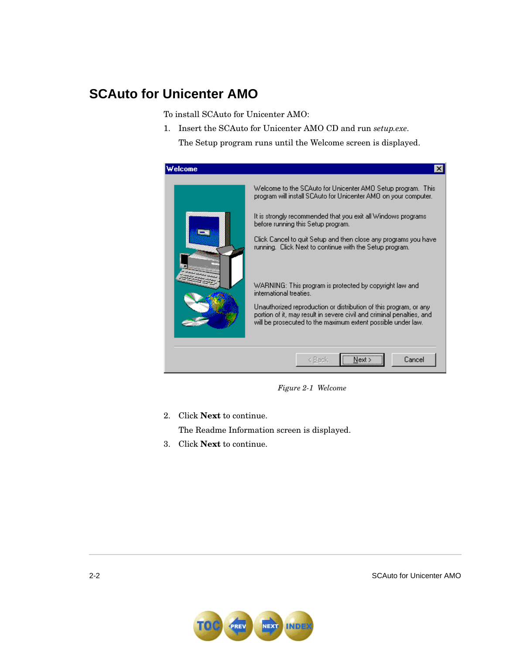# <span id="page-19-0"></span>**SCAuto for Unicenter AMO**

To install SCAuto for Unicenter AMO:

1. Insert the SCAuto for Unicenter AMO CD and run *setup.exe*. The Setup program runs until the Welcome screen is displayed.



*Figure 2-1 Welcome*

2. Click **Next** to continue.

The Readme Information screen is displayed.

3. Click **Next** to continue.

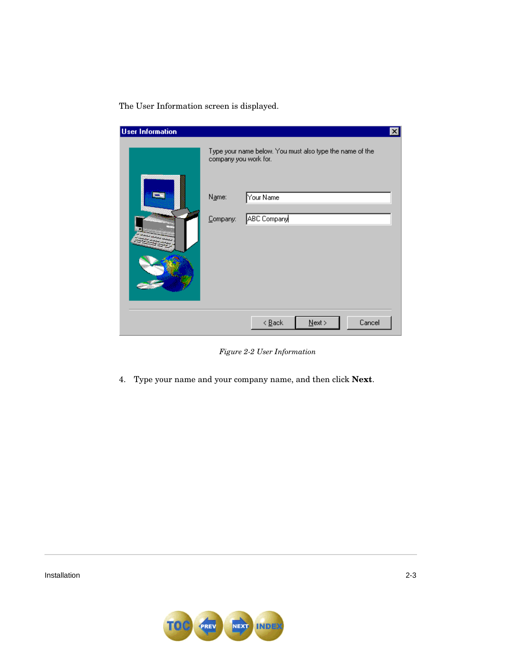The User Information screen is displayed.

| <b>User Information</b> |                                |                                                          |        | $\vert x \vert$ |
|-------------------------|--------------------------------|----------------------------------------------------------|--------|-----------------|
|                         | company you work for.          | Type your name below. You must also type the name of the |        |                 |
| 888888888               | Name:<br>Your Name<br>Company: | <b>ABC Company</b>                                       |        |                 |
|                         |                                | $\leq \underline{\mathsf{B}}$ ack<br>$N$ ext >           | Cancel |                 |

*Figure 2-2 User Information*

4. Type your name and your company name, and then click **Next**.

Installation 2-3

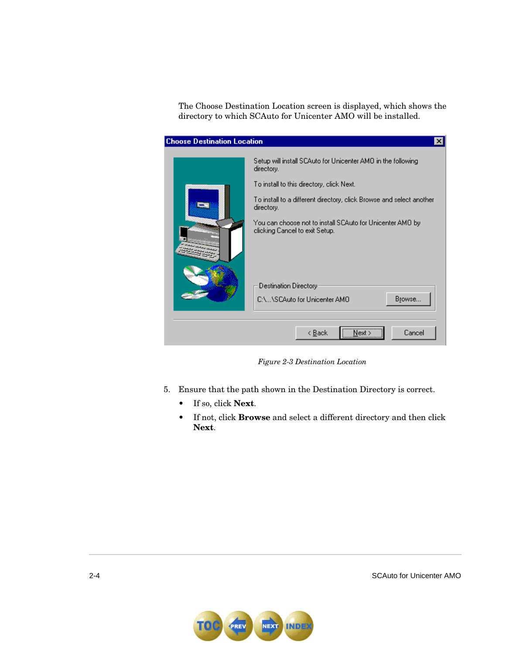The Choose Destination Location screen is displayed, which shows the directory to which SCAuto for Unicenter AMO will be installed.

| <b>Choose Destination Location</b> | ×                                                                                            |  |
|------------------------------------|----------------------------------------------------------------------------------------------|--|
|                                    | Setup will install SCAuto for Unicenter AMO in the following<br>directory.                   |  |
|                                    | To install to this directory, click Next.                                                    |  |
|                                    | To install to a different directory, click Browse and select another<br>directory.           |  |
|                                    | You can choose not to install SCAuto for Unicenter AMO by:<br>clicking Cancel to exit Setup. |  |
|                                    | Destination Directory<br>Browse<br>C:\\SCAuto for Unicenter AMO                              |  |
|                                    | Cancel<br>< <u>B</u> ack<br>Next                                                             |  |

*Figure 2-3 Destination Location*

- 5. Ensure that the path shown in the Destination Directory is correct.
	- If so, click **Next**.
	- If not, click **Browse** and select a different directory and then click **Next**.

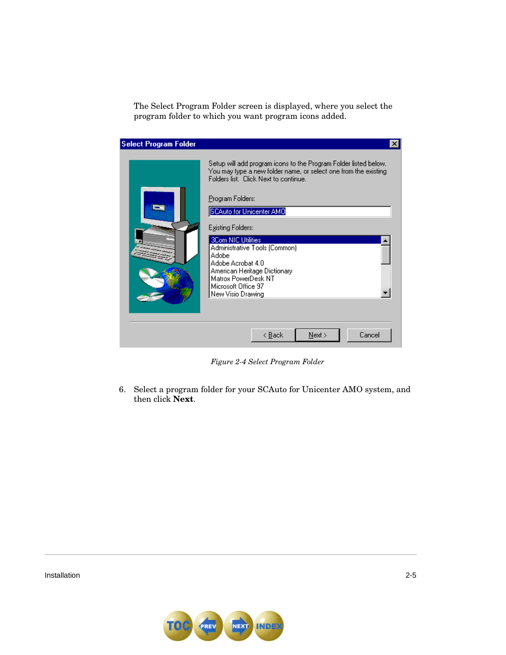The Select Program Folder screen is displayed, where you select the program folder to which you want program icons added.



*Figure 2-4 Select Program Folder*

6. Select a program folder for your SCAuto for Unicenter AMO system, and then click **Next**.

Installation 2-5

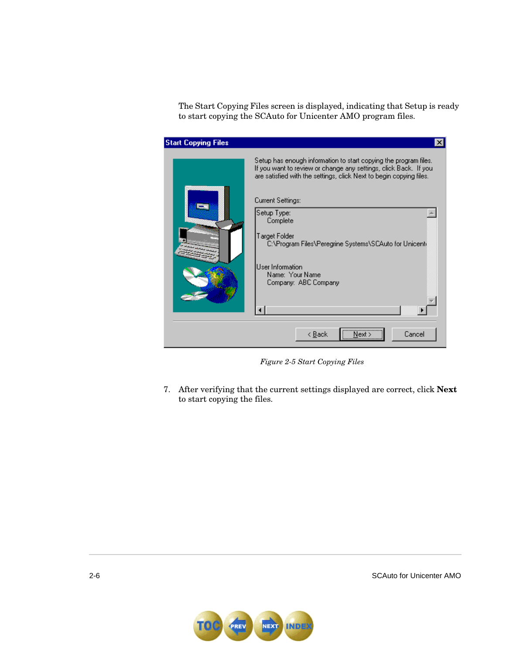The Start Copying Files screen is displayed, indicating that Setup is ready to start copying the SCAuto for Unicenter AMO program files.

| <b>Start Copying Files</b> | $\times$                                                                                                                                                                                                    |
|----------------------------|-------------------------------------------------------------------------------------------------------------------------------------------------------------------------------------------------------------|
|                            | Setup has enough information to start copying the program files.<br>If you want to review or change any settings, click Back. If you<br>are satisfied with the settings, click Next to begin copying files. |
|                            | Current Settings:                                                                                                                                                                                           |
|                            | Setup Type:<br>Complete                                                                                                                                                                                     |
|                            | Target Folder<br>C:\Program Files\Peregrine Systems\SCAuto for Unicenti                                                                                                                                     |
|                            | User Information<br>Name: Your Name<br>Company: ABC Company                                                                                                                                                 |
|                            |                                                                                                                                                                                                             |
|                            | Cancel<br>< <u>B</u> ack<br>Next                                                                                                                                                                            |

*Figure 2-5 Start Copying Files*

7. After verifying that the current settings displayed are correct, click **Next** to start copying the files.

2-6 SCAuto for Unicenter AMO

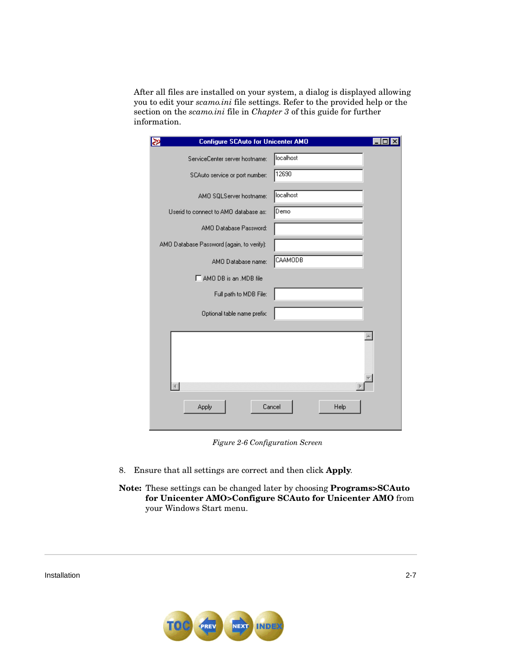After all files are installed on your system, a dialog is displayed allowing you to edit your *scamo.ini* file settings. Refer to the provided help or the section on the *scamo.ini* file in *Chapter 3* of this guide for further information.

| Ø<br><b>Configure SCAuto for Unicenter AMO</b> |                |
|------------------------------------------------|----------------|
| ServiceCenter server hostname:                 | localhost      |
| SCAuto service or port number:                 | 12690          |
| AMO SQLServer hostname:                        | localhost      |
| Userid to connect to AMO database as:          | Demo           |
| AMO Database Password:                         |                |
| AMO Database Password (again, to verify):      |                |
| AMO Database name:                             | CAAMODB        |
| AMO DB is an .MDB file                         |                |
| Full path to MDB File:                         |                |
| Optional table name prefix:                    |                |
|                                                |                |
|                                                |                |
| Apply                                          | Cancel<br>Help |

*Figure 2-6 Configuration Screen*

- 8. Ensure that all settings are correct and then click **Apply**.
- **Note:** These settings can be changed later by choosing **Programs>SCAuto for Unicenter AMO>Configure SCAuto for Unicenter AMO** from your Windows Start menu.

Installation 2-7

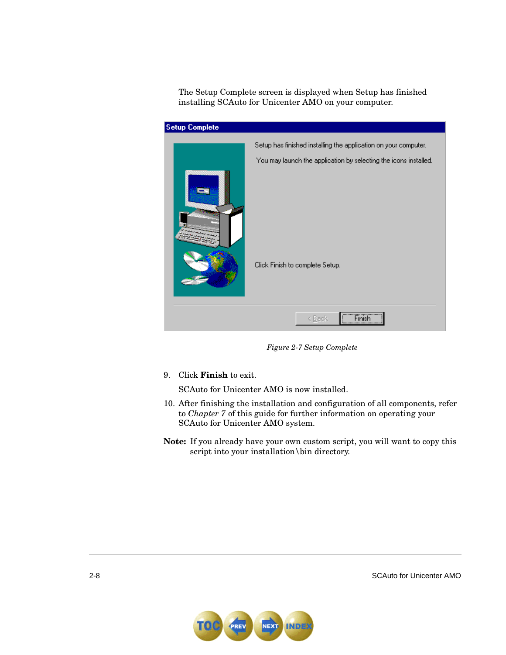The Setup Complete screen is displayed when Setup has finished installing SCAuto for Unicenter AMO on your computer.

| <b>Setup Complete</b> |                                                                                                                                     |
|-----------------------|-------------------------------------------------------------------------------------------------------------------------------------|
|                       | Setup has finished installing the application on your computer.<br>You may launch the application by selecting the icons installed. |
|                       | Click Finish to complete Setup.                                                                                                     |
|                       | Finish<br>< Back                                                                                                                    |

*Figure 2-7 Setup Complete*

9. Click **Finish** to exit.

SCAuto for Unicenter AMO is now installed.

- 10. After finishing the installation and configuration of all components, refer to *Chapter 7* of this guide for further information on operating your SCAuto for Unicenter AMO system.
- **Note:** If you already have your own custom script, you will want to copy this script into your installation\bin directory.

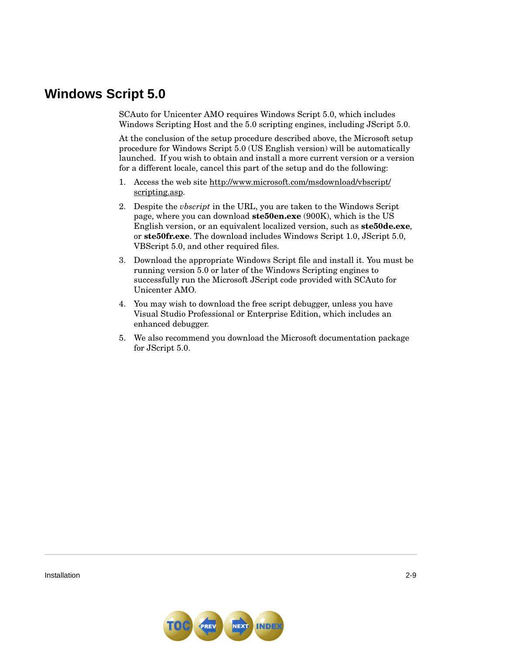# <span id="page-26-0"></span>**Windows Script 5.0**

SCAuto for Unicenter AMO requires Windows Script 5.0, which includes Windows Scripting Host and the 5.0 scripting engines, including JScript 5.0.

At the conclusion of the setup procedure described above, the Microsoft setup procedure for Windows Script 5.0 (US English version) will be automatically launched. If you wish to obtain and install a more current version or a version for a different locale, cancel this part of the setup and do the following:

- 1. Access the web site http://www.microsoft.com/msdownload/vbscript/ scripting.asp.
- 2. Despite the *vbscript* in the URL, you are taken to the Windows Script page, where you can download **ste50en.exe** (900K), which is the US English version, or an equivalent localized version, such as **ste50de.exe**, or **ste50fr.exe**. The download includes Windows Script 1.0, JScript 5.0, VBScript 5.0, and other required files.
- 3. Download the appropriate Windows Script file and install it. You must be running version 5.0 or later of the Windows Scripting engines to successfully run the Microsoft JScript code provided with SCAuto for Unicenter AMO.
- 4. You may wish to download the free script debugger, unless you have Visual Studio Professional or Enterprise Edition, which includes an enhanced debugger.
- 5. We also recommend you download the Microsoft documentation package for JScript 5.0.

Installation 2-9

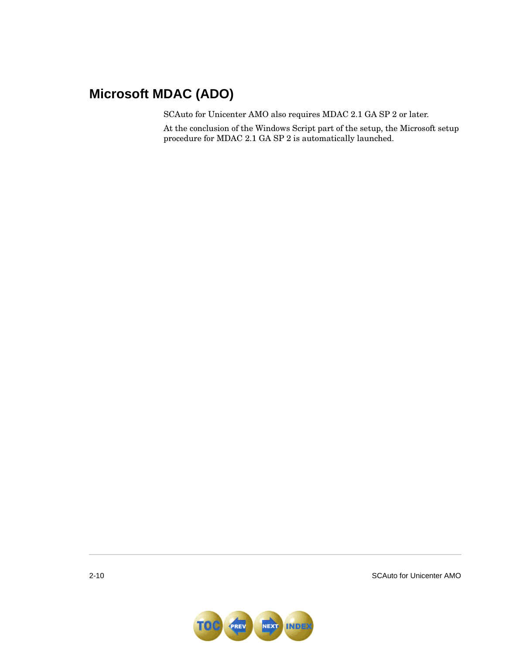# <span id="page-27-0"></span>**Microsoft MDAC (ADO)**

SCAuto for Unicenter AMO also requires MDAC 2.1 GA SP 2 or later.

At the conclusion of the Windows Script part of the setup, the Microsoft setup procedure for MDAC 2.1 GA SP 2 is automatically launched.

2-10 SCAuto for Unicenter AMO

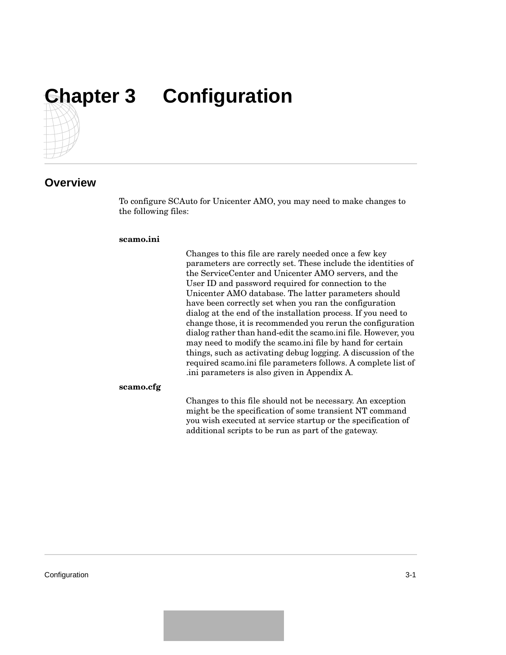# <span id="page-28-0"></span>**Chapter 3 Configuration**

## **Overview**

To configure SCAuto for Unicenter AMO, you may need to make changes to the following files:

#### **scamo.ini**

Changes to this file are rarely needed once a few key parameters are correctly set. These include the identities of the ServiceCenter and Unicenter AMO servers, and the User ID and password required for connection to the Unicenter AMO database. The latter parameters should have been correctly set when you ran the configuration dialog at the end of the installation process. If you need to change those, it is recommended you rerun the configuration dialog rather than hand-edit the scamo.ini file. However, you may need to modify the scamo.ini file by hand for certain things, such as activating debug logging. A discussion of the required scamo.ini file parameters follows. A complete list of .ini parameters is also given in Appendix A. **scamo.cfg**

Changes to this file should not be necessary. An exception might be the specification of some transient NT command you wish executed at service startup or the specification of additional scripts to be run as part of the gateway.

**Configuration** 3-1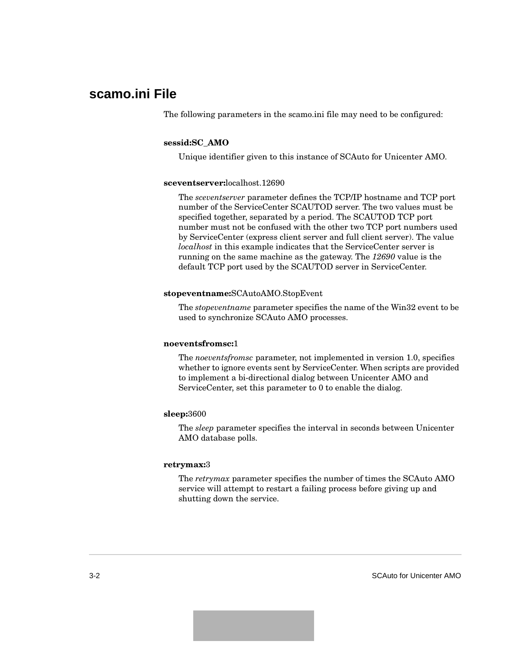# <span id="page-29-0"></span>**scamo.ini File**

The following parameters in the scamo.ini file may need to be configured:

#### **sessid:SC\_AMO**

Unique identifier given to this instance of SCAuto for Unicenter AMO.

#### **sceventserver:**localhost.12690

The *sceventserver* parameter defines the TCP/IP hostname and TCP port number of the ServiceCenter SCAUTOD server. The two values must be specified together, separated by a period. The SCAUTOD TCP port number must not be confused with the other two TCP port numbers used by ServiceCenter (express client server and full client server). The value *localhost* in this example indicates that the ServiceCenter server is running on the same machine as the gateway. The *12690* value is the default TCP port used by the SCAUTOD server in ServiceCenter.

#### **stopeventname:**SCAutoAMO.StopEvent

The *stopeventname* parameter specifies the name of the Win32 event to be used to synchronize SCAuto AMO processes.

#### **noeventsfromsc:**1

The *noeventsfromsc* parameter, not implemented in version 1.0, specifies whether to ignore events sent by ServiceCenter. When scripts are provided to implement a bi-directional dialog between Unicenter AMO and ServiceCenter, set this parameter to 0 to enable the dialog.

#### **sleep:**3600

The *sleep* parameter specifies the interval in seconds between Unicenter AMO database polls.

#### **retrymax:**3

The *retrymax* parameter specifies the number of times the SCAuto AMO service will attempt to restart a failing process before giving up and shutting down the service.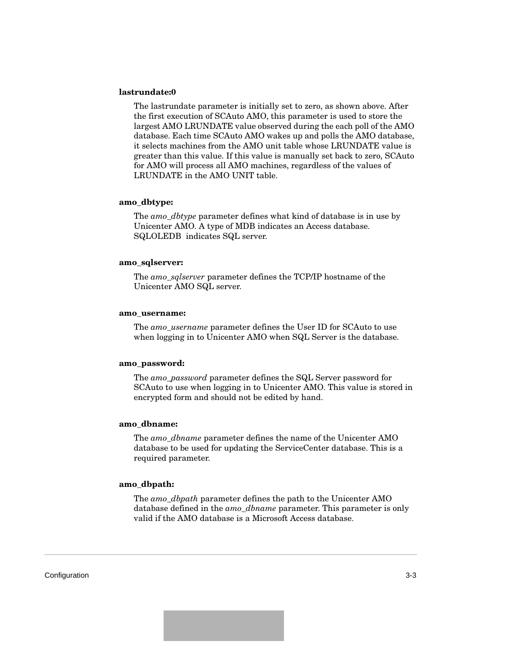#### <span id="page-30-0"></span>**lastrundate:0**

The lastrundate parameter is initially set to zero, as shown above. After the first execution of SCAuto AMO, this parameter is used to store the largest AMO LRUNDATE value observed during the each poll of the AMO database. Each time SCAuto AMO wakes up and polls the AMO database, it selects machines from the AMO unit table whose LRUNDATE value is greater than this value. If this value is manually set back to zero, SCAuto for AMO will process all AMO machines, regardless of the values of LRUNDATE in the AMO UNIT table.

#### **amo\_dbtype:**

The *amo\_dbtype* parameter defines what kind of database is in use by Unicenter AMO. A type of MDB indicates an Access database. SQLOLEDB indicates SQL server.

#### **amo\_sqlserver:**

The *amo\_sqlserver* parameter defines the TCP/IP hostname of the Unicenter AMO SQL server.

#### **amo\_username:**

The *amo\_username* parameter defines the User ID for SCAuto to use when logging in to Unicenter AMO when SQL Server is the database.

#### **amo\_password:**

The *amo\_password* parameter defines the SQL Server password for SCAuto to use when logging in to Unicenter AMO. This value is stored in encrypted form and should not be edited by hand.

#### **amo\_dbname:**

The *amo\_dbname* parameter defines the name of the Unicenter AMO database to be used for updating the ServiceCenter database. This is a required parameter.

#### **amo\_dbpath:**

The *amo\_dbpath* parameter defines the path to the Unicenter AMO database defined in the *amo\_dbname* parameter. This parameter is only valid if the AMO database is a Microsoft Access database.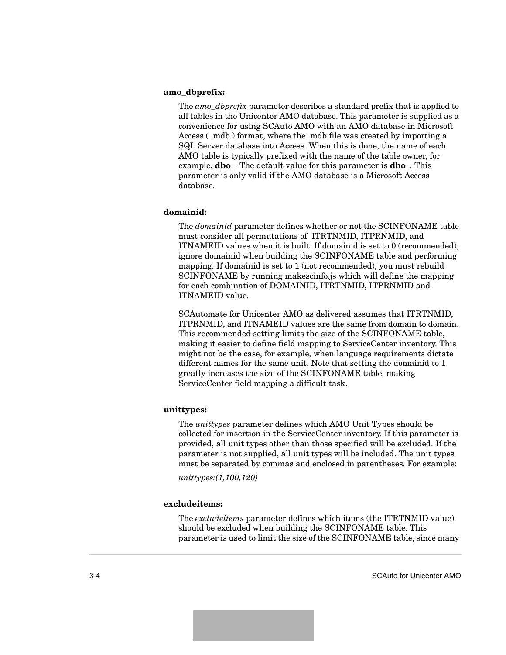#### <span id="page-31-0"></span>**amo\_dbprefix:**

The *amo\_dbprefix* parameter describes a standard prefix that is applied to all tables in the Unicenter AMO database. This parameter is supplied as a convenience for using SCAuto AMO with an AMO database in Microsoft Access ( .mdb ) format, where the .mdb file was created by importing a SQL Server database into Access. When this is done, the name of each AMO table is typically prefixed with the name of the table owner, for example, **dbo\_**. The default value for this parameter is **dbo\_**. This parameter is only valid if the AMO database is a Microsoft Access database.

#### **domainid:**

The *domainid* parameter defines whether or not the SCINFONAME table must consider all permutations of ITRTNMID, ITPRNMID, and ITNAMEID values when it is built. If domainid is set to 0 (recommended), ignore domainid when building the SCINFONAME table and performing mapping. If domainid is set to 1 (not recommended), you must rebuild SCINFONAME by running makescinfo.js which will define the mapping for each combination of DOMAINID, ITRTNMID, ITPRNMID and ITNAMEID value.

SCAutomate for Unicenter AMO as delivered assumes that ITRTNMID, ITPRNMID, and ITNAMEID values are the same from domain to domain. This recommended setting limits the size of the SCINFONAME table, making it easier to define field mapping to ServiceCenter inventory. This might not be the case, for example, when language requirements dictate different names for the same unit. Note that setting the domainid to 1 greatly increases the size of the SCINFONAME table, making ServiceCenter field mapping a difficult task.

#### **unittypes:**

The *unittypes* parameter defines which AMO Unit Types should be collected for insertion in the ServiceCenter inventory. If this parameter is provided, all unit types other than those specified will be excluded. If the parameter is not supplied, all unit types will be included. The unit types must be separated by commas and enclosed in parentheses. For example:

*unittypes:(1,100,120)*

#### **excludeitems:**

The *excludeitems* parameter defines which items (the ITRTNMID value) should be excluded when building the SCINFONAME table. This parameter is used to limit the size of the SCINFONAME table, since many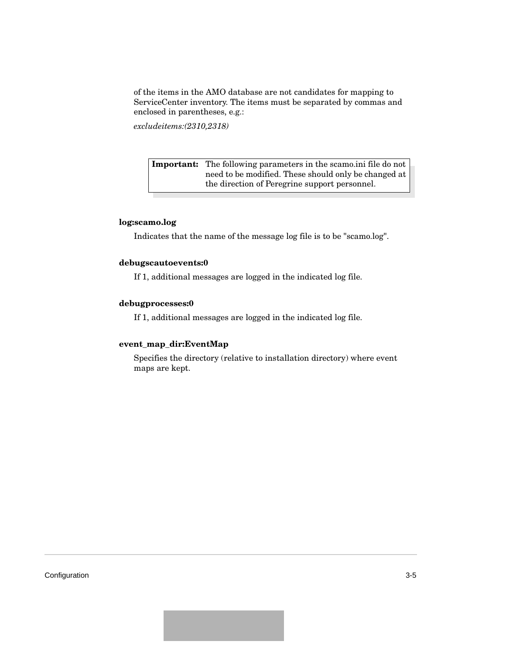<span id="page-32-0"></span>of the items in the AMO database are not candidates for mapping to ServiceCenter inventory. The items must be separated by commas and enclosed in parentheses, e.g.:

*excludeitems:(2310,2318)*

**Important:** The following parameters in the scamo.ini file do not need to be modified. These should only be changed at the direction of Peregrine support personnel.

### **log:scamo.log**

Indicates that the name of the message log file is to be "scamo.log".

#### **debugscautoevents:0**

If 1, additional messages are logged in the indicated log file.

#### **debugprocesses:0**

If 1, additional messages are logged in the indicated log file.

#### **event\_map\_dir:EventMap**

Specifies the directory (relative to installation directory) where event maps are kept.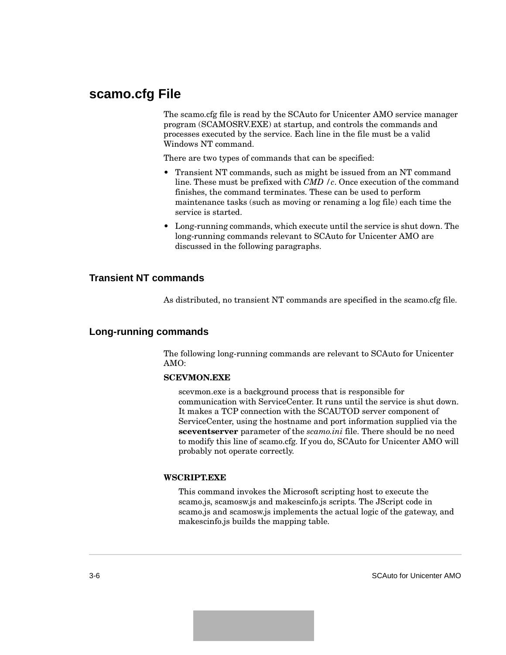# <span id="page-33-0"></span>**scamo.cfg File**

The scamo.cfg file is read by the SCAuto for Unicenter AMO service manager program (SCAMOSRV.EXE) at startup, and controls the commands and processes executed by the service. Each line in the file must be a valid Windows NT command.

There are two types of commands that can be specified:

- Transient NT commands, such as might be issued from an NT command line. These must be prefixed with *CMD /c*. Once execution of the command finishes, the command terminates. These can be used to perform maintenance tasks (such as moving or renaming a log file) each time the service is started.
- Long-running commands, which execute until the service is shut down. The long-running commands relevant to SCAuto for Unicenter AMO are discussed in the following paragraphs.

### **Transient NT commands**

As distributed, no transient NT commands are specified in the scamo.cfg file.

### **Long-running commands**

The following long-running commands are relevant to SCAuto for Unicenter AMO:

#### **SCEVMON.EXE**

scevmon.exe is a background process that is responsible for communication with ServiceCenter. It runs until the service is shut down. It makes a TCP connection with the SCAUTOD server component of ServiceCenter, using the hostname and port information supplied via the **sceventserver** parameter of the *scamo.ini* file. There should be no need to modify this line of scamo.cfg. If you do, SCAuto for Unicenter AMO will probably not operate correctly.

#### **WSCRIPT.EXE**

This command invokes the Microsoft scripting host to execute the scamo.js, scamosw.js and makescinfo.js scripts. The JScript code in scamo. is and scamosw. is implements the actual logic of the gateway, and makescinfo.js builds the mapping table.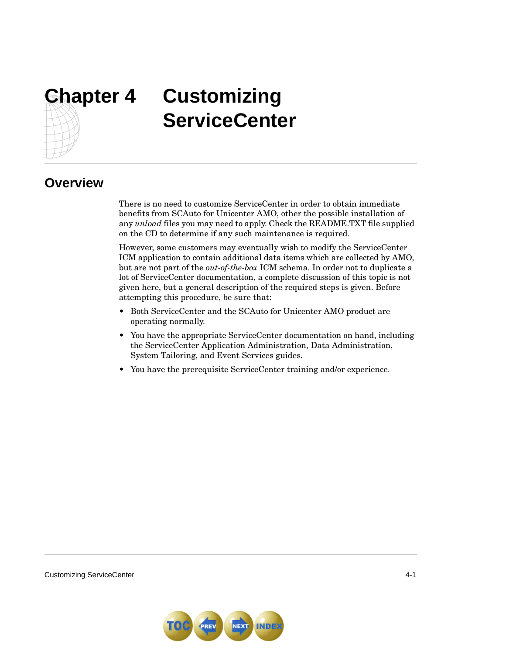# <span id="page-34-0"></span>**Chapter 4 Customizing ServiceCenter**

# **Overview**

There is no need to customize ServiceCenter in order to obtain immediate benefits from SCAuto for Unicenter AMO, other the possible installation of any *unload* files you may need to apply. Check the README.TXT file supplied on the CD to determine if any such maintenance is required.

However, some customers may eventually wish to modify the ServiceCenter ICM application to contain additional data items which are collected by AMO, but are not part of the *out-of-the-box* ICM schema. In order not to duplicate a lot of ServiceCenter documentation, a complete discussion of this topic is not given here, but a general description of the required steps is given. Before attempting this procedure, be sure that:

- Both ServiceCenter and the SCAuto for Unicenter AMO product are operating normally.
- You have the appropriate ServiceCenter documentation on hand, including the ServiceCenter Application Administration, Data Administration, System Tailoring, and Event Services guides.
- You have the prerequisite ServiceCenter training and/or experience.

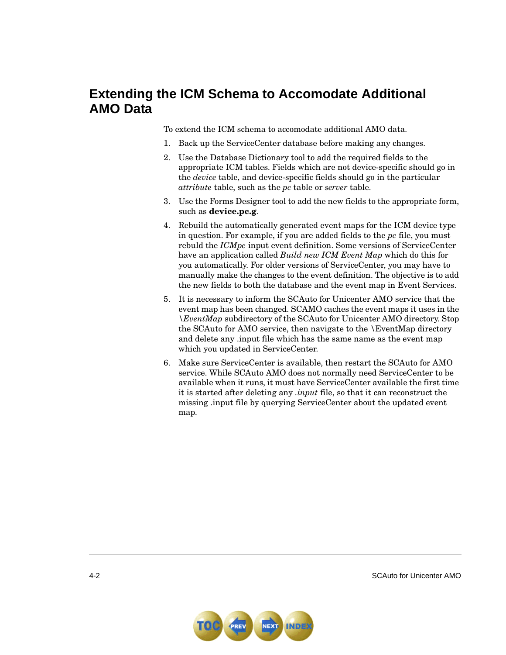# <span id="page-35-0"></span>**Extending the ICM Schema to Accomodate Additional AMO Data**

To extend the ICM schema to accomodate additional AMO data.

- 1. Back up the ServiceCenter database before making any changes.
- 2. Use the Database Dictionary tool to add the required fields to the appropriate ICM tables. Fields which are not device-specific should go in the *device* table, and device-specific fields should go in the particular *attribute* table, such as the *pc* table or *server* table.
- 3. Use the Forms Designer tool to add the new fields to the appropriate form, such as **device.pc.g**.
- 4. Rebuild the automatically generated event maps for the ICM device type in question. For example, if you are added fields to the *pc* file, you must rebuld the *ICMpc* input event definition. Some versions of ServiceCenter have an application called *Build new ICM Event Map* which do this for you automatically. For older versions of ServiceCenter, you may have to manually make the changes to the event definition. The objective is to add the new fields to both the database and the event map in Event Services.
- 5. It is necessary to inform the SCAuto for Unicenter AMO service that the event map has been changed. SCAMO caches the event maps it uses in the *\EventMap* subdirectory of the SCAuto for Unicenter AMO directory. Stop the SCAuto for AMO service, then navigate to the \EventMap directory and delete any .input file which has the same name as the event map which you updated in ServiceCenter.
- 6. Make sure ServiceCenter is available, then restart the SCAuto for AMO service. While SCAuto AMO does not normally need ServiceCenter to be available when it runs, it must have ServiceCenter available the first time it is started after deleting any *.input* file, so that it can reconstruct the missing .input file by querying ServiceCenter about the updated event map.

4-2 SCAuto for Unicenter AMO

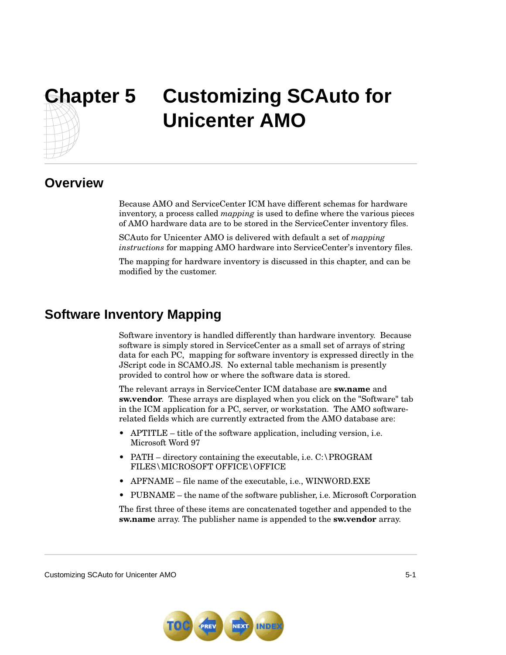# <span id="page-36-0"></span>**Chapter 5 Customizing SCAuto for Unicenter AMO**

# **Overview**

Because AMO and ServiceCenter ICM have different schemas for hardware inventory, a process called *mapping* is used to define where the various pieces of AMO hardware data are to be stored in the ServiceCenter inventory files.

SCAuto for Unicenter AMO is delivered with default a set of *mapping instructions* for mapping AMO hardware into ServiceCenter's inventory files.

The mapping for hardware inventory is discussed in this chapter, and can be modified by the customer.

# **Software Inventory Mapping**

Software inventory is handled differently than hardware inventory. Because software is simply stored in ServiceCenter as a small set of arrays of string data for each PC, mapping for software inventory is expressed directly in the JScript code in SCAMO.JS. No external table mechanism is presently provided to control how or where the software data is stored.

The relevant arrays in ServiceCenter ICM database are **sw.name** and **sw.vendor.** These arrays are displayed when you click on the "Software" tab in the ICM application for a PC, server, or workstation. The AMO softwarerelated fields which are currently extracted from the AMO database are:

- APTITLE title of the software application, including version, i.e. Microsoft Word 97
- PATH directory containing the executable, i.e. C:\PROGRAM FILES\MICROSOFT OFFICE\OFFICE
- APFNAME file name of the executable, i.e., WINWORD.EXE
- PUBNAME the name of the software publisher, i.e. Microsoft Corporation

The first three of these items are concatenated together and appended to the **sw.name** array. The publisher name is appended to the **sw.vendor** array.

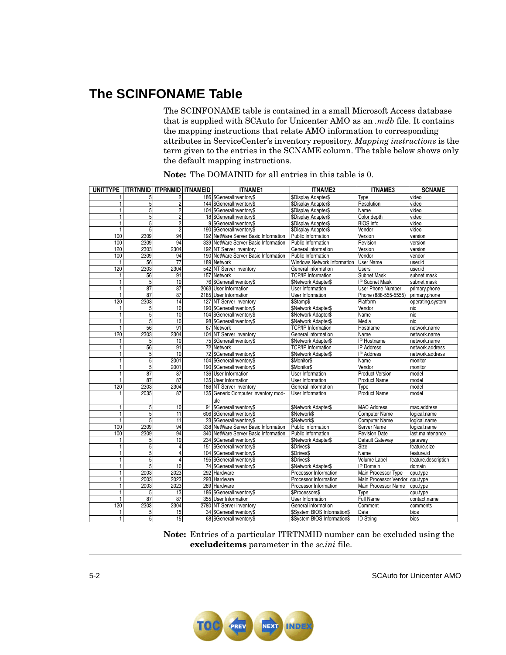# <span id="page-37-0"></span>**The SCINFONAME Table**

The SCINFONAME table is contained in a small Microsoft Access database that is supplied with SCAuto for Unicenter AMO as an *.mdb* file. It contains the mapping instructions that relate AMO information to corresponding attributes in ServiceCenter's inventory repository. *Mapping instructions* is the term given to the entries in the SCNAME column. The table below shows only the default mapping instructions.

| UNITTYPE   ITRTNMID   ITPRNMID   ITNAMEID |      |                         | <b>ITNAME1</b>                       | <b>ITNAME2</b>                              | <b>ITNAME3</b>           | <b>SCNAME</b>       |
|-------------------------------------------|------|-------------------------|--------------------------------------|---------------------------------------------|--------------------------|---------------------|
| 1                                         | 5    | 2                       | 186 SGeneral Inventory\$             | \$Display Adapter\$                         | Type                     | video               |
| 1                                         | 5    | $\overline{2}$          | 144 SGeneralInventory\$              | \$Display Adapter\$                         | Resolution               | video               |
| $\mathbf{1}$                              | 5    | $\overline{2}$          | 104   \$GeneralInventory\$           | \$Display Adapter\$                         | Name                     | video               |
| $\mathbf{1}$                              | 5    | $\overline{\mathbf{c}}$ | 18 SGeneralInventory\$               | \$Display Adapter\$                         | Color depth              | video               |
| $\mathbf{1}$                              | 5    | $\overline{c}$          | 9 SGeneralInventory\$                | \$Display Adapter\$                         | <b>BIOS</b> info         | video               |
| $\mathbf{1}$                              | 5    | $\overline{2}$          | 190 \$GeneralInventory\$             | \$Display Adapter\$                         | Vendor                   | video               |
| 100                                       | 2309 | 94                      | 192 NetWare Server Basic Information | Public Information                          | Version                  | version             |
| 100                                       | 2309 | 94                      | 339 NetWare Server Basic Information | <b>Public Information</b>                   | Revision                 | version             |
| 120                                       | 2303 | 2304                    | 192 NT Server inventory              | General information                         | Version                  | version             |
| 100                                       | 2309 | 94                      | 190 NetWare Server Basic Information | Public Information                          | Vendor                   | vendor              |
| 1                                         | 56   | $\overline{77}$         | 189 Network                          | Windows Network Information                 | <b>User Name</b>         | user.id             |
| 120                                       | 2303 | 2304                    | 542 NT Server inventory              | General information                         | <b>Users</b>             | user.id             |
| 1                                         | 56   | 91                      | 157 Network                          | <b>TCP/IP Information</b>                   | Subnet Mask              | subnet.mask         |
| 1                                         | 5    | 10                      | 76 \$GeneralInventory\$              | \$Network Adapter\$                         | <b>IP Subnet Mask</b>    | subnet.mask         |
| 1                                         | 87   | 87                      | 2063 User Information                | <b>User Information</b>                     | <b>User Phone Number</b> | primary.phone       |
| $\mathbf{1}$                              | 87   | 87                      | 2185 User Information                | User Information                            | Phone (888-555-5555)     | primary.phone       |
| 120                                       | 2303 | 14                      | 127 NT Server inventory              | \$Stamp\$                                   | Platform                 | operating.system    |
| 1                                         | 5    | 10                      | 190 SGeneral Inventory\$             | \$Network Adapter\$                         | Vendor                   | nic                 |
| T                                         | 5    | 10                      | 104 \$GeneralInventory\$             | \$Network Adapter\$                         | Name                     | nic                 |
| 1                                         | 5    | 10                      | 98 \$GeneralInventory\$              | \$Network Adapter\$                         | Media                    | nic                 |
| $\mathbf{1}$                              | 56   | 91                      | 67 Network                           | <b>TCP/IP Information</b>                   | Hostname                 | network.name        |
| 120                                       | 2303 | 2304                    | 104 NT Server inventory              | General information                         | Name                     | network.name        |
| 1                                         | 5    | 10                      | 75 SGeneralInventory\$               | \$Network Adapter\$                         | IP Hostname              | network.name        |
| 1                                         | 56   | 91                      | 72 Network                           | <b>TCP/IP Information</b>                   | <b>IP Address</b>        | network.address     |
| $\mathbf{1}$                              | 5    | 10                      | 72   \$GeneralInventory\$            | <b>\$Network Adapter\$</b>                  | <b>IP Address</b>        | network.address     |
| $\mathbf{1}$                              | 5    | 2001                    | 104   \$General Inventory\$          | \$Monitor\$                                 | Name                     | monitor             |
| $\mathbf{1}$                              | 5    | 2001                    | 190   \$General Inventory\$          | \$Monitor\$                                 | Vendor                   | monitor             |
| $\mathbf{1}$                              | 87   | 87                      | 136 User Information                 | <b>User Information</b>                     | <b>Product Version</b>   | model               |
| $\mathbf{1}$                              | 87   | 87                      | 135 User Information                 | <b>User Information</b>                     | <b>Product Name</b>      | model               |
| 120                                       | 2303 | 2304                    | 186 NT Server inventory              | General information                         | Type                     | model               |
|                                           | 2035 | 87                      | 135 Generic Computer inventory mod-  | User Information                            | <b>Product Name</b>      | model               |
|                                           |      |                         | ule                                  |                                             |                          |                     |
| 1                                         | 5    | 10                      | 91 SGeneralInventory\$               | \$Network Adapter\$                         | <b>MAC Address</b>       | mac.address         |
| $\mathbf{1}$                              | 5    | 11                      | 606 \$GeneralInventory\$             | \$Network\$                                 | <b>Computer Name</b>     | logical.name        |
| $\mathbf{1}$                              | 5    | 11                      | 23 SGeneralInventory\$               | \$Network\$                                 | <b>Computer Name</b>     | logical.name        |
| 100                                       | 2309 | 94                      | 338 NetWare Server Basic Information | Public Information                          | Server Name              | logical.name        |
| 100                                       | 2309 | 94                      | 340 NetWare Server Basic Information | Public Information                          | <b>Revision Date</b>     | last.maintenance    |
| 1                                         | 5    | 10                      | 234 \$GeneralInventory\$             | \$Network Adapter\$                         | Default Gateway          | gateway             |
| $\mathbf{1}$                              | 5    | $\overline{4}$          | 151 SGeneralInventory\$              | \$Drives\$                                  | Size                     | feature.size        |
| $\mathbf{1}$                              | 5    | $\overline{4}$          | 104   \$GeneralInventory\$           | \$Drives\$                                  | Name                     | feature.id          |
| $\mathbf{1}$                              | 5    | $\overline{4}$          | 195 SGeneralInventory\$              | \$Drives\$                                  | <b>Volume Label</b>      | feature.description |
| $\mathbf{1}$                              | 5    | 10                      | 74 SGeneralInventory\$               | \$Network Adapter\$                         | IP Domain                | domain              |
| $\mathbf{1}$                              | 2003 | 2023                    | 292 Hardware                         | Processor Information                       | Main Processor Type      | cpu.type            |
| 1                                         | 2003 | 2023                    | 293 Hardware                         | Processor Information                       | Main Processor Vendor    | cpu.type            |
| $\mathbf{1}$                              | 2003 | 2023                    | 289 Hardware                         | Processor Information                       | Main Processor Name      | cpu.type            |
| $\mathbf{1}$                              | 5    | 13                      | 186 SGeneralInventory\$              | \$Processors\$                              | Tvpe                     | cpu.type            |
| $\mathbf{1}$                              | 87   | 87                      | 355 User Information                 | User Information                            | <b>Full Name</b>         | contact.name        |
| 120                                       | 2303 | 2304                    | 2780 NT Server inventory             | General information                         | Comment                  | comments            |
| 1                                         | 5    | 15                      | 34 \$GeneralInventory\$              | \$System BIOS Information\$<br>Date<br>bios |                          |                     |
| $\mathbf{1}$                              | 5    | 15                      | 68 SGeneralInventory\$               | \$System BIOS Information\$                 | <b>ID String</b>         | bios                |

**Note:** The DOMAINID for all entries in this table is 0.

**Note:** Entries of a particular ITRTNMID number can be excluded using the **excludeitems** parameter in the *sc.ini* file.

5-2 SCAuto for Unicenter AMO

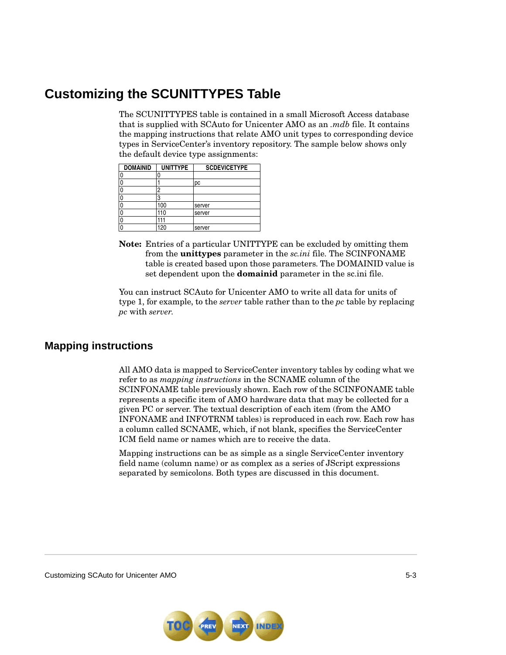# <span id="page-38-0"></span>**Customizing the SCUNITTYPES Table**

The SCUNITTYPES table is contained in a small Microsoft Access database that is supplied with SCAuto for Unicenter AMO as an *.mdb* file. It contains the mapping instructions that relate AMO unit types to corresponding device types in ServiceCenter's inventory repository. The sample below shows only the default device type assignments:

| <b>DOMAINID</b> | <b>UNITTYPE</b> | <b>SCDEVICETYPE</b> |
|-----------------|-----------------|---------------------|
| 0               | 0               |                     |
| $\mathbf{0}$    |                 | рc                  |
| 0               | 2               |                     |
| 0               | я               |                     |
| 0               | 100             | server              |
| 0               | 110             | server              |
| 0               | 111             |                     |
| O               | 120             | server              |

**Note:** Entries of a particular UNITTYPE can be excluded by omitting them from the **unittypes** parameter in the *sc.ini* file. The SCINFONAME table is created based upon those parameters. The DOMAINID value is set dependent upon the **domainid** parameter in the sc.ini file.

You can instruct SCAuto for Unicenter AMO to write all data for units of type 1, for example, to the *server* table rather than to the *pc* table by replacing *pc* with *server*.

### **Mapping instructions**

All AMO data is mapped to ServiceCenter inventory tables by coding what we refer to as *mapping instructions* in the SCNAME column of the SCINFONAME table previously shown. Each row of the SCINFONAME table represents a specific item of AMO hardware data that may be collected for a given PC or server. The textual description of each item (from the AMO INFONAME and INFOTRNM tables) is reproduced in each row. Each row has a column called SCNAME, which, if not blank, specifies the ServiceCenter ICM field name or names which are to receive the data.

Mapping instructions can be as simple as a single ServiceCenter inventory field name (column name) or as complex as a series of JScript expressions separated by semicolons. Both types are discussed in this document.

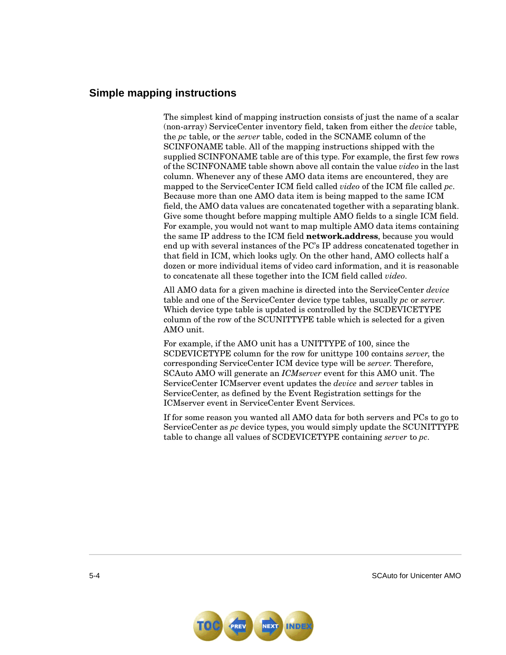### <span id="page-39-0"></span>**Simple mapping instructions**

The simplest kind of mapping instruction consists of just the name of a scalar (non-array) ServiceCenter inventory field, taken from either the *device* table, the *pc* table, or the *server* table, coded in the SCNAME column of the SCINFONAME table. All of the mapping instructions shipped with the supplied SCINFONAME table are of this type. For example, the first few rows of the SCINFONAME table shown above all contain the value *video* in the last column. Whenever any of these AMO data items are encountered, they are mapped to the ServiceCenter ICM field called *video* of the ICM file called *pc*. Because more than one AMO data item is being mapped to the same ICM field, the AMO data values are concatenated together with a separating blank. Give some thought before mapping multiple AMO fields to a single ICM field. For example, you would not want to map multiple AMO data items containing the same IP address to the ICM field **network.address**, because you would end up with several instances of the PC's IP address concatenated together in that field in ICM, which looks ugly. On the other hand, AMO collects half a dozen or more individual items of video card information, and it is reasonable to concatenate all these together into the ICM field called *video*.

All AMO data for a given machine is directed into the ServiceCenter *device* table and one of the ServiceCenter device type tables, usually *pc* or *server*. Which device type table is updated is controlled by the SCDEVICETYPE column of the row of the SCUNITTYPE table which is selected for a given AMO unit.

For example, if the AMO unit has a UNITTYPE of 100, since the SCDEVICETYPE column for the row for unittype 100 contains *server*, the corresponding ServiceCenter ICM device type will be *server*. Therefore, SCAuto AMO will generate an *ICMserver* event for this AMO unit. The ServiceCenter ICMserver event updates the *device* and *server* tables in ServiceCenter, as defined by the Event Registration settings for the ICMserver event in ServiceCenter Event Services.

If for some reason you wanted all AMO data for both servers and PCs to go to ServiceCenter as *pc* device types, you would simply update the SCUNITTYPE table to change all values of SCDEVICETYPE containing *server* to *pc*.

5-4 SCAuto for Unicenter AMO

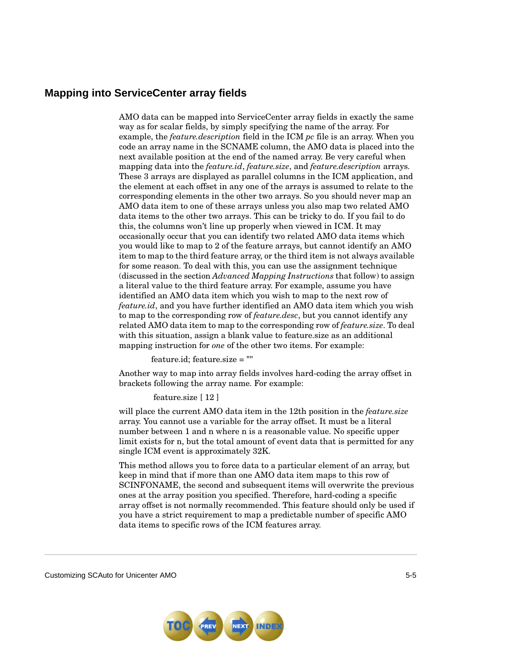### <span id="page-40-0"></span>**Mapping into ServiceCenter array fields**

AMO data can be mapped into ServiceCenter array fields in exactly the same way as for scalar fields, by simply specifying the name of the array. For example, the *feature.description* field in the ICM *pc* file is an array. When you code an array name in the SCNAME column, the AMO data is placed into the next available position at the end of the named array. Be very careful when mapping data into the *feature.id*, *feature.size*, and *feature.description* arrays. These 3 arrays are displayed as parallel columns in the ICM application, and the element at each offset in any one of the arrays is assumed to relate to the corresponding elements in the other two arrays. So you should never map an AMO data item to one of these arrays unless you also map two related AMO data items to the other two arrays. This can be tricky to do. If you fail to do this, the columns won't line up properly when viewed in ICM. It may occasionally occur that you can identify two related AMO data items which you would like to map to 2 of the feature arrays, but cannot identify an AMO item to map to the third feature array, or the third item is not always available for some reason. To deal with this, you can use the assignment technique (discussed in the section *Advanced Mapping Instructions* that follow) to assign a literal value to the third feature array. For example, assume you have identified an AMO data item which you wish to map to the next row of *feature.id*, and you have further identified an AMO data item which you wish to map to the corresponding row of *feature.desc*, but you cannot identify any related AMO data item to map to the corresponding row of *feature.size*. To deal with this situation, assign a blank value to feature.size as an additional mapping instruction for *one* of the other two items. For example:

feature.id; feature.size = ""

Another way to map into array fields involves hard-coding the array offset in brackets following the array name. For example:

feature.size [ 12 ]

will place the current AMO data item in the 12th position in the *feature.size* array. You cannot use a variable for the array offset. It must be a literal number between 1 and n where n is a reasonable value. No specific upper limit exists for n, but the total amount of event data that is permitted for any single ICM event is approximately 32K.

This method allows you to force data to a particular element of an array, but keep in mind that if more than one AMO data item maps to this row of SCINFONAME, the second and subsequent items will overwrite the previous ones at the array position you specified. Therefore, hard-coding a specific array offset is not normally recommended. This feature should only be used if you have a strict requirement to map a predictable number of specific AMO data items to specific rows of the ICM features array.

Customizing SCAuto for Unicenter AMO 5-5

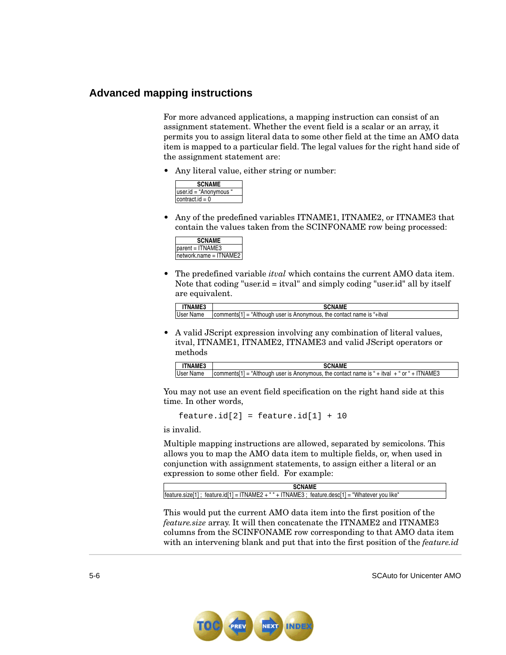### <span id="page-41-0"></span>**Advanced mapping instructions**

For more advanced applications, a mapping instruction can consist of an assignment statement. Whether the event field is a scalar or an array, it permits you to assign literal data to some other field at the time an AMO data item is mapped to a particular field. The legal values for the right hand side of the assignment statement are:

• Any literal value, either string or number:

| <b>SCNAME</b>          |
|------------------------|
| user.id = "Anonymous " |
| contract. $id = 0$     |

• Any of the predefined variables ITNAME1, ITNAME2, or ITNAME3 that contain the values taken from the SCINFONAME row being processed:

| <b>SCNAME</b>          |
|------------------------|
| parent = ITNAME3       |
| network.name = ITNAME2 |

• The predefined variable *itval* which contains the current AMO data item. Note that coding "user.id = itval" and simply coding "user.id" all by itself are equivalent.

| .<br><b>AME3</b><br>'N | <br>∵NAM∟                                                                                                                                                        |
|------------------------|------------------------------------------------------------------------------------------------------------------------------------------------------------------|
| Name<br>5e.            | $46$ A like<br>user<br>*+itvai<br>comn<br>name<br>contact<br><b>IS</b><br>nous<br>Althouar<br>ΊS<br>Anor<br>me<br>$\overline{\phantom{0}}$<br>ישנ<br>nentsi<br>- |

• A valid JScript expression involving any combination of literal values, itval, ITNAME1, ITNAME2, ITNAME3 and valid JScript operators or methods

| <b>NAME3</b>        | <b>SCNAME</b>                                                                                                                                       |
|---------------------|-----------------------------------------------------------------------------------------------------------------------------------------------------|
| <b>User</b><br>Name | "Altho<br>NAME3<br>the<br>name is<br>ıtval<br>. .<br>user<br>Anonymous<br>∵or<br>IS<br>comments<br>contact<br>ouar<br>$\overline{\phantom{0}}$<br>- |

You may not use an event field specification on the right hand side at this time. In other words,

 $feature.id[2] = feature.id[1] + 10$ 

is invalid.

Multiple mapping instructions are allowed, separated by semicolons. This allows you to map the AMO data item to multiple fields, or, when used in conjunction with assignment statements, to assign either a literal or an expression to some other field. For example:

| <b>SCNAME</b>                                                                                                                                     |
|---------------------------------------------------------------------------------------------------------------------------------------------------|
| "Whatever you<br>like"<br>. feature.id <sup>[1</sup><br>. .<br>TNAME3 :<br>'11 = ITNAME2 +<br>lfeature.size[1]<br>feature.descl1<br>$+11$<br>11 – |

This would put the current AMO data item into the first position of the *feature.size* array. It will then concatenate the ITNAME2 and ITNAME3 columns from the SCINFONAME row corresponding to that AMO data item with an intervening blank and put that into the first position of the *feature.id*

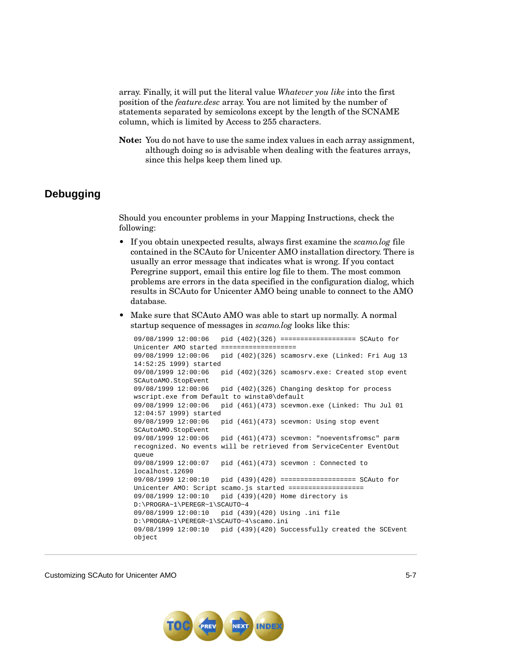<span id="page-42-0"></span>array. Finally, it will put the literal value *Whatever you like* into the first position of the *feature.desc* array. You are not limited by the number of statements separated by semicolons except by the length of the SCNAME column, which is limited by Access to 255 characters.

**Note:** You do not have to use the same index values in each array assignment, although doing so is advisable when dealing with the features arrays, since this helps keep them lined up.

### **Debugging**

Should you encounter problems in your Mapping Instructions, check the following:

- If you obtain unexpected results, always first examine the *scamo.log* file contained in the SCAuto for Unicenter AMO installation directory. There is usually an error message that indicates what is wrong. If you contact Peregrine support, email this entire log file to them. The most common problems are errors in the data specified in the configuration dialog, which results in SCAuto for Unicenter AMO being unable to connect to the AMO database.
- Make sure that SCAuto AMO was able to start up normally. A normal startup sequence of messages in *scamo.log* looks like this:

```
09/08/1999 12:00:06 pid (402)(326) =================== SCAuto for 
Unicenter AMO started ===================
09/08/1999 12:00:06 pid (402)(326) scamosrv.exe (Linked: Fri Aug 13 
14:52:25 1999) started
09/08/1999 12:00:06 pid (402)(326) scamosrv.exe: Created stop event 
SCAutoAMO.StopEvent
09/08/1999 12:00:06 pid (402)(326) Changing desktop for process 
wscript.exe from Default to winsta0\default
09/08/1999 12:00:06 pid (461)(473) scevmon.exe (Linked: Thu Jul 01 
12:04:57 1999) started
09/08/1999 12:00:06 pid (461)(473) scevmon: Using stop event 
SCAutoAMO.StopEvent
09/08/1999 12:00:06 pid (461)(473) scevmon: "noeventsfromsc" parm 
recognized. No events will be retrieved from ServiceCenter EventOut 
queue
09/08/1999 12:00:07 pid (461)(473) scevmon : Connected to 
localhost.12690
09/08/1999 12:00:10 pid (439)(420) =================== SCAuto for 
Unicenter AMO: Script scamo.js started ===================
09/08/1999 12:00:10 pid (439)(420) Home directory is 
D:\PROGRA~1\PEREGR~1\SCAUTO~4
09/08/1999 12:00:10 pid (439)(420) Using .ini file 
D:\PROGRA~1\PEREGR~1\SCAUTO~4\scamo.ini
09/08/1999 12:00:10 pid (439)(420) Successfully created the SCEvent 
object
```
Customizing SCAuto for Unicenter AMO 5-7

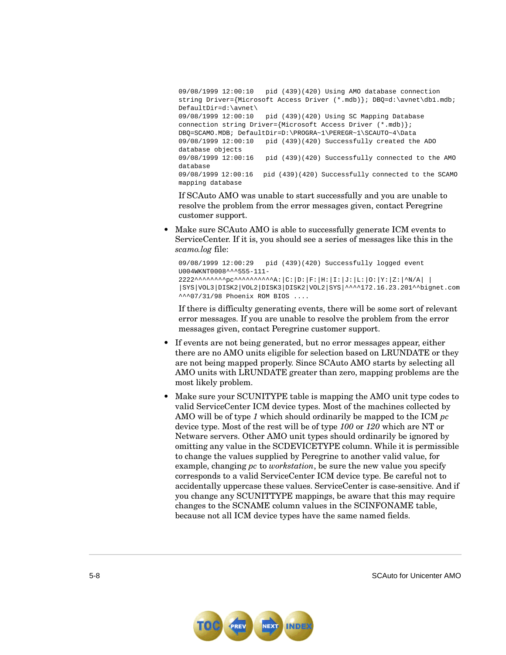```
09/08/1999 12:00:10 pid (439)(420) Using AMO database connection 
string Driver={Microsoft Access Driver (*.mdb)}; DBQ=d:\avnet\db1.mdb; 
DefaultDir=d:\avnet\
09/08/1999 12:00:10 pid (439)(420) Using SC Mapping Database 
connection string Driver={Microsoft Access Driver (*.mdb)}; 
DBQ=SCAMO.MDB; DefaultDir=D:\PROGRA~1\PEREGR~1\SCAUTO~4\Data
09/08/1999 12:00:10 pid (439)(420) Successfully created the ADO 
database objects
09/08/1999 12:00:16 pid (439)(420) Successfully connected to the AMO 
database
09/08/1999 12:00:16 pid (439)(420) Successfully connected to the SCAMO 
mapping database
```
If SCAuto AMO was unable to start successfully and you are unable to resolve the problem from the error messages given, contact Peregrine customer support.

• Make sure SCAuto AMO is able to successfully generate ICM events to ServiceCenter. If it is, you should see a series of messages like this in the *scamo.log* file:

```
09/08/1999 12:00:29 pid (439)(420) Successfully logged event 
U004WKNT0008^^^555-111-
2222^{\lambda\lambda\lambda\lambda\lambda\lambda\lambda}p c^{\lambda\lambda\lambda\lambda\lambda\lambda\lambda\lambda}:|C:|D:|F:|H:|I:|J:|L:|O:|Y:|Z:|^N/A| |
|SYS|VOL3|DISK2|VOL2|DISK3|DISK2|VOL2|SYS|^^^^172.16.23.201^^bignet.com
^^^07/31/98 Phoenix ROM BIOS ....
```
If there is difficulty generating events, there will be some sort of relevant error messages. If you are unable to resolve the problem from the error messages given, contact Peregrine customer support.

- If events are not being generated, but no error messages appear, either there are no AMO units eligible for selection based on LRUNDATE or they are not being mapped properly. Since SCAuto AMO starts by selecting all AMO units with LRUNDATE greater than zero, mapping problems are the most likely problem.
- Make sure your SCUNITYPE table is mapping the AMO unit type codes to valid ServiceCenter ICM device types. Most of the machines collected by AMO will be of type *1* which should ordinarily be mapped to the ICM *pc* device type. Most of the rest will be of type *100* or *120* which are NT or Netware servers. Other AMO unit types should ordinarily be ignored by omitting any value in the SCDEVICETYPE column. While it is permissible to change the values supplied by Peregrine to another valid value, for example, changing *pc* to *workstation*, be sure the new value you specify corresponds to a valid ServiceCenter ICM device type. Be careful not to accidentally uppercase these values. ServiceCenter is case-sensitive. And if you change any SCUNITTYPE mappings, be aware that this may require changes to the SCNAME column values in the SCINFONAME table, because not all ICM device types have the same named fields.

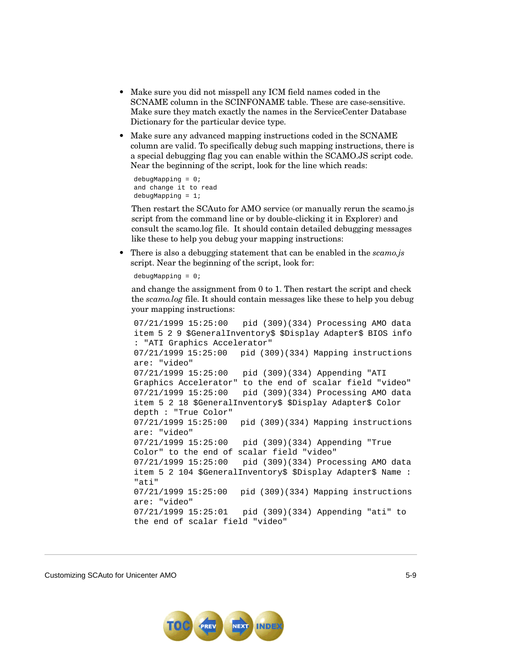- Make sure you did not misspell any ICM field names coded in the SCNAME column in the SCINFONAME table. These are case-sensitive. Make sure they match exactly the names in the ServiceCenter Database Dictionary for the particular device type.
- Make sure any advanced mapping instructions coded in the SCNAME column are valid. To specifically debug such mapping instructions, there is a special debugging flag you can enable within the SCAMO.JS script code. Near the beginning of the script, look for the line which reads:

```
debugMapping = 0;
and change it to read
debugMapping = 1;
```
Then restart the SCAuto for AMO service (or manually rerun the scamo.js script from the command line or by double-clicking it in Explorer) and consult the scamo.log file. It should contain detailed debugging messages like these to help you debug your mapping instructions:

• There is also a debugging statement that can be enabled in the *scamo.js* script. Near the beginning of the script, look for:

```
debugMapping = 0;
```
and change the assignment from 0 to 1. Then restart the script and check the *scamo.log* file. It should contain messages like these to help you debug your mapping instructions:

```
07/21/1999 15:25:00 pid (309)(334) Processing AMO data 
item 5 2 9 $GeneralInventory$ $Display Adapter$ BIOS info 
: "ATI Graphics Accelerator"<br>07/21/1999 15:25:00 pid (30
                      pid (309)(334) Mapping instructions
are: "video"
07/21/1999 15:25:00 pid (309)(334) Appending "ATI 
Graphics Accelerator" to the end of scalar field "video"
07/21/1999 15:25:00 pid (309)(334) Processing AMO data 
item 5 2 18 $GeneralInventory$ $Display Adapter$ Color 
depth : "True Color"
07/21/1999 15:25:00 pid (309)(334) Mapping instructions 
are: "video"
07/21/1999 15:25:00 pid (309)(334) Appending "True 
Color" to the end of scalar field "video"
07/21/1999 15:25:00 pid (309)(334) Processing AMO data 
item 5 2 104 $GeneralInventory$ $Display Adapter$ Name : 
"ati"
07/21/1999 15:25:00 pid (309)(334) Mapping instructions 
are: "video"
07/21/1999 15:25:01 pid (309)(334) Appending "ati" to 
the end of scalar field "video"
```
Customizing SCAuto for Unicenter AMO 5-9

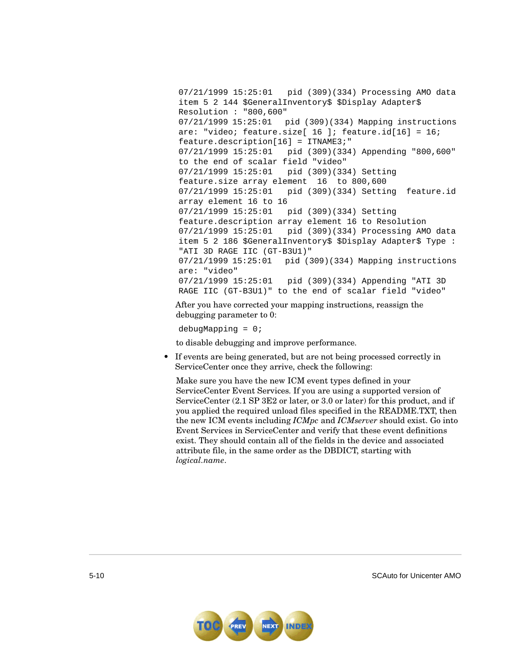```
07/21/1999 15:25:01 pid (309)(334) Processing AMO data 
item 5 2 144 $GeneralInventory$ $Display Adapter$ 
Resolution : "800,600"
07/21/1999 15:25:01 pid (309)(334) Mapping instructions 
are: "video; feature.size[ 16 ]; feature.id[16] = 16; 
feature.description[16] = ITNAME3;"
07/21/1999 15:25:01 pid (309)(334) Appending "800,600" 
to the end of scalar field "video"
07/21/1999 15:25:01 pid (309)(334) Setting 
feature.size array element 16 to 800,600
07/21/1999 15:25:01 pid (309)(334) Setting feature.id 
array element 16 to 16
07/21/1999 15:25:01 pid (309)(334) Setting 
feature.description array element 16 to Resolution
07/21/1999 15:25:01 pid (309)(334) Processing AMO data 
item 5 2 186 $GeneralInventory$ $Display Adapter$ Type :
"ATI 3D RAGE IIC (GT-B3U1)"
07/21/1999 15:25:01 pid (309)(334) Mapping instructions 
are: "video"
07/21/1999 15:25:01 pid (309)(334) Appending "ATI 3D 
RAGE IIC (GT-B3U1)" to the end of scalar field "video"
```
After you have corrected your mapping instructions, reassign the debugging parameter to 0:

debugMapping = 0;

to disable debugging and improve performance.

• If events are being generated, but are not being processed correctly in ServiceCenter once they arrive, check the following:

Make sure you have the new ICM event types defined in your ServiceCenter Event Services. If you are using a supported version of ServiceCenter (2.1 SP 3E2 or later, or 3.0 or later) for this product, and if you applied the required unload files specified in the README.TXT, then the new ICM events including *ICMpc* and *ICMserver* should exist. Go into Event Services in ServiceCenter and verify that these event definitions exist. They should contain all of the fields in the device and associated attribute file, in the same order as the DBDICT, starting with *logical.name*.

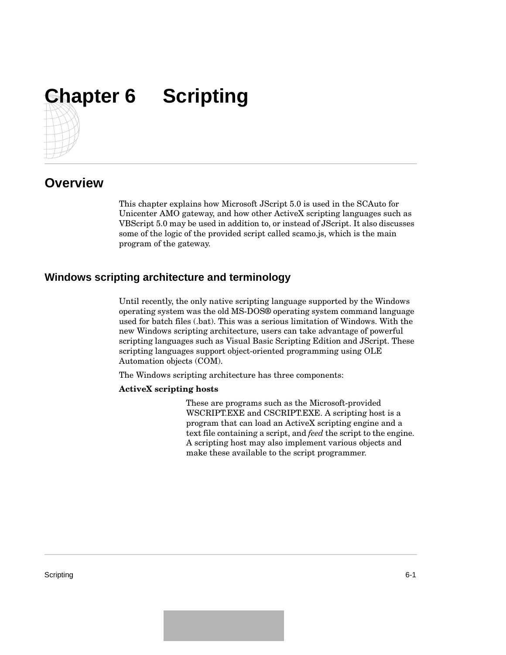# <span id="page-46-0"></span>**Chapter 6 Scripting**

# **Overview**

This chapter explains how Microsoft JScript 5.0 is used in the SCAuto for Unicenter AMO gateway, and how other ActiveX scripting languages such as VBScript 5.0 may be used in addition to, or instead of JScript. It also discusses some of the logic of the provided script called scamo.js, which is the main program of the gateway.

### **Windows scripting architecture and terminology**

Until recently, the only native scripting language supported by the Windows operating system was the old MS-DOS® operating system command language used for batch files (.bat). This was a serious limitation of Windows. With the new Windows scripting architecture, users can take advantage of powerful scripting languages such as Visual Basic Scripting Edition and JScript. These scripting languages support object-oriented programming using OLE Automation objects (COM).

The Windows scripting architecture has three components:

#### **ActiveX scripting hosts**

These are programs such as the Microsoft-provided WSCRIPT.EXE and CSCRIPT.EXE. A scripting host is a program that can load an ActiveX scripting engine and a text file containing a script, and *feed* the script to the engine. A scripting host may also implement various objects and make these available to the script programmer.

Scripting 6-1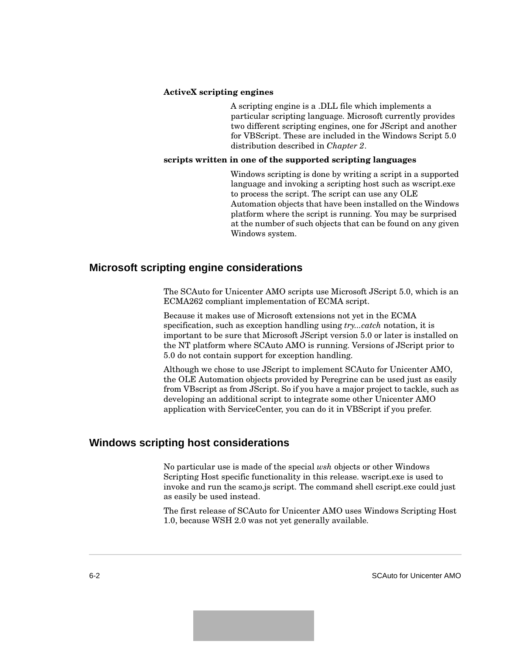#### <span id="page-47-0"></span>**ActiveX scripting engines**

A scripting engine is a .DLL file which implements a particular scripting language. Microsoft currently provides two different scripting engines, one for JScript and another for VBScript. These are included in the Windows Script 5.0 distribution described in *Chapter 2*.

#### **scripts written in one of the supported scripting languages**

Windows scripting is done by writing a script in a supported language and invoking a scripting host such as wscript.exe to process the script. The script can use any OLE Automation objects that have been installed on the Windows platform where the script is running. You may be surprised at the number of such objects that can be found on any given Windows system.

### **Microsoft scripting engine considerations**

The SCAuto for Unicenter AMO scripts use Microsoft JScript 5.0, which is an ECMA262 compliant implementation of ECMA script.

Because it makes use of Microsoft extensions not yet in the ECMA specification, such as exception handling using *try...catch* notation, it is important to be sure that Microsoft JScript version 5.0 or later is installed on the NT platform where SCAuto AMO is running. Versions of JScript prior to 5.0 do not contain support for exception handling.

Although we chose to use JScript to implement SCAuto for Unicenter AMO, the OLE Automation objects provided by Peregrine can be used just as easily from VBscript as from JScript. So if you have a major project to tackle, such as developing an additional script to integrate some other Unicenter AMO application with ServiceCenter, you can do it in VBScript if you prefer.

### **Windows scripting host considerations**

No particular use is made of the special *wsh* objects or other Windows Scripting Host specific functionality in this release. wscript.exe is used to invoke and run the scamo.js script. The command shell cscript.exe could just as easily be used instead.

The first release of SCAuto for Unicenter AMO uses Windows Scripting Host 1.0, because WSH 2.0 was not yet generally available.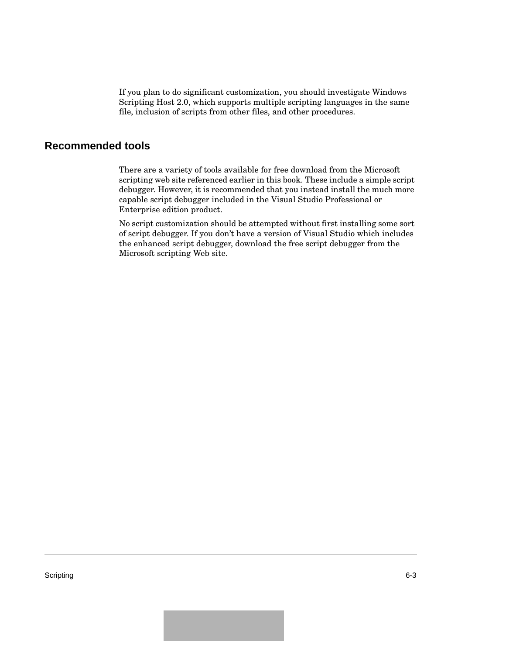<span id="page-48-0"></span>If you plan to do significant customization, you should investigate Windows Scripting Host 2.0, which supports multiple scripting languages in the same file, inclusion of scripts from other files, and other procedures.

### **Recommended tools**

There are a variety of tools available for free download from the Microsoft scripting web site referenced earlier in this book. These include a simple script debugger. However, it is recommended that you instead install the much more capable script debugger included in the Visual Studio Professional or Enterprise edition product.

No script customization should be attempted without first installing some sort of script debugger. If you don't have a version of Visual Studio which includes the enhanced script debugger, download the free script debugger from the Microsoft scripting Web site.

Scripting 6-3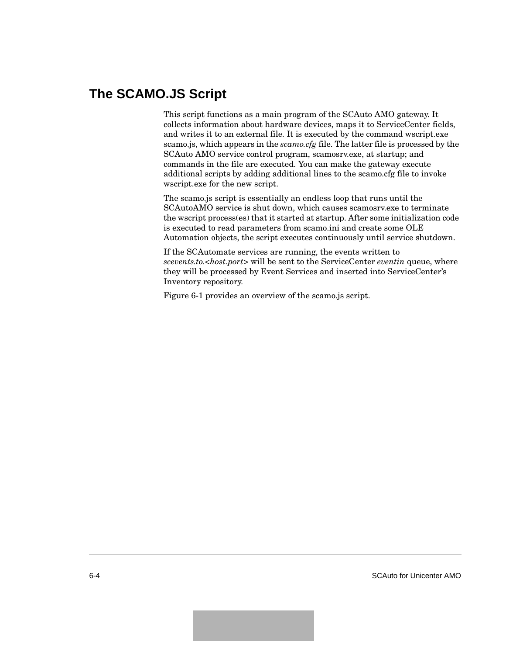# <span id="page-49-0"></span>**The SCAMO.JS Script**

This script functions as a main program of the SCAuto AMO gateway. It collects information about hardware devices, maps it to ServiceCenter fields, and writes it to an external file. It is executed by the command wscript.exe scamo.js, which appears in the *scamo.cfg* file. The latter file is processed by the SCAuto AMO service control program, scamosrv.exe, at startup; and commands in the file are executed. You can make the gateway execute additional scripts by adding additional lines to the scamo.cfg file to invoke wscript.exe for the new script.

The scamo.js script is essentially an endless loop that runs until the SCAutoAMO service is shut down, which causes scamosrv.exe to terminate the wscript process(es) that it started at startup. After some initialization code is executed to read parameters from scamo.ini and create some OLE Automation objects, the script executes continuously until service shutdown.

If the SCAutomate services are running, the events written to *scevents.to.<host.port>* will be sent to the ServiceCenter *eventin* queue, where they will be processed by Event Services and inserted into ServiceCenter's Inventory repository.

[Figure 6-1](#page-50-0) provides an overview of the scamo.js script.

6-4 SCAuto for Unicenter AMO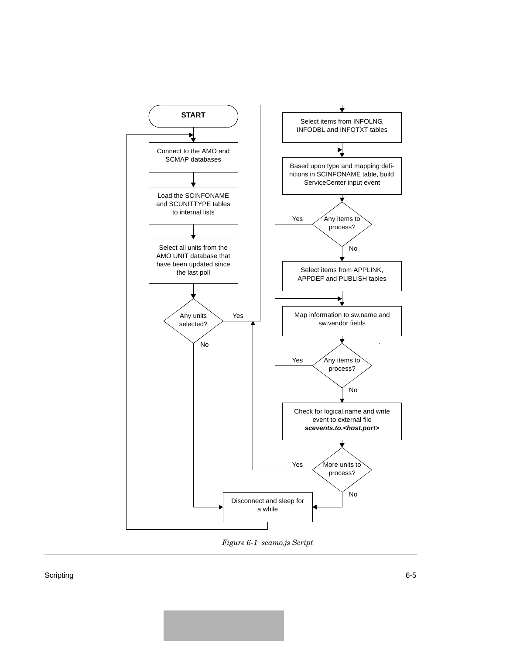<span id="page-50-0"></span>

*Figure 6-1 scamo.js Script*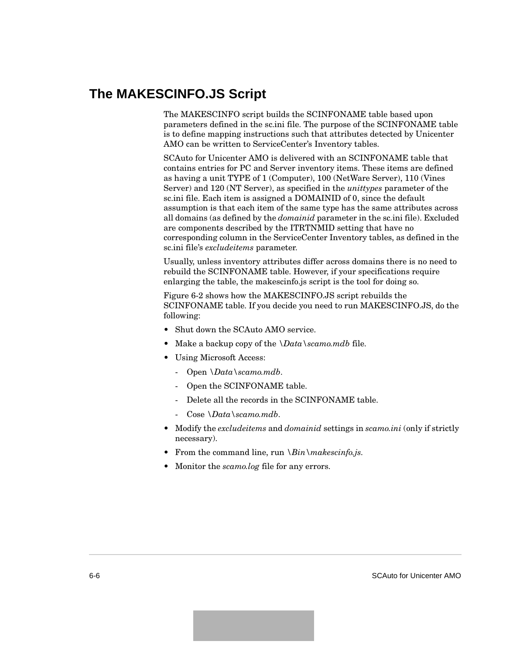# <span id="page-51-0"></span>**The MAKESCINFO.JS Script**

The MAKESCINFO script builds the SCINFONAME table based upon parameters defined in the sc.ini file. The purpose of the SCINFONAME table is to define mapping instructions such that attributes detected by Unicenter AMO can be written to ServiceCenter's Inventory tables.

SCAuto for Unicenter AMO is delivered with an SCINFONAME table that contains entries for PC and Server inventory items. These items are defined as having a unit TYPE of 1 (Computer), 100 (NetWare Server), 110 (Vines Server) and 120 (NT Server), as specified in the *unittypes* parameter of the sc.ini file. Each item is assigned a DOMAINID of 0, since the default assumption is that each item of the same type has the same attributes across all domains (as defined by the *domainid* parameter in the sc.ini file). Excluded are components described by the ITRTNMID setting that have no corresponding column in the ServiceCenter Inventory tables, as defined in the sc.ini file's *excludeitems* parameter.

Usually, unless inventory attributes differ across domains there is no need to rebuild the SCINFONAME table. However, if your specifications require enlarging the table, the makescinfo. is script is the tool for doing so.

[Figure 6-2](#page-52-0) shows how the MAKESCINFO.JS script rebuilds the SCINFONAME table. If you decide you need to run MAKESCINFO.JS, do the following:

- Shut down the SCAuto AMO service.
- Make a backup copy of the *\Data\scamo.mdb* file.
- Using Microsoft Access:
	- Open *\Data\scamo.mdb*.
	- Open the SCINFONAME table.
	- Delete all the records in the SCINFONAME table.
	- Cose *\Data\scamo.mdb*.
- Modify the *excludeitems* and *domainid* settings in *scamo.ini* (only if strictly necessary).
- From the command line, run *\Bin\makescinfo.js*.
- Monitor the *scamo.log* file for any errors.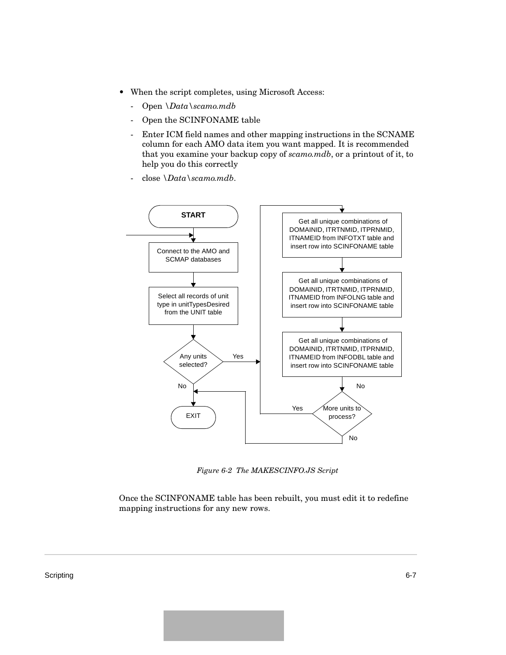- <span id="page-52-0"></span>• When the script completes, using Microsoft Access:
	- Open *\Data\scamo.mdb*
	- Open the SCINFONAME table
	- Enter ICM field names and other mapping instructions in the SCNAME column for each AMO data item you want mapped. It is recommended that you examine your backup copy of *scamo.mdb*, or a printout of it, to help you do this correctly
	- close *\Data\scamo.mdb*.



*Figure 6-2 The MAKESCINFO.JS Script*

Once the SCINFONAME table has been rebuilt, you must edit it to redefine mapping instructions for any new rows.

#### Scripting 6-7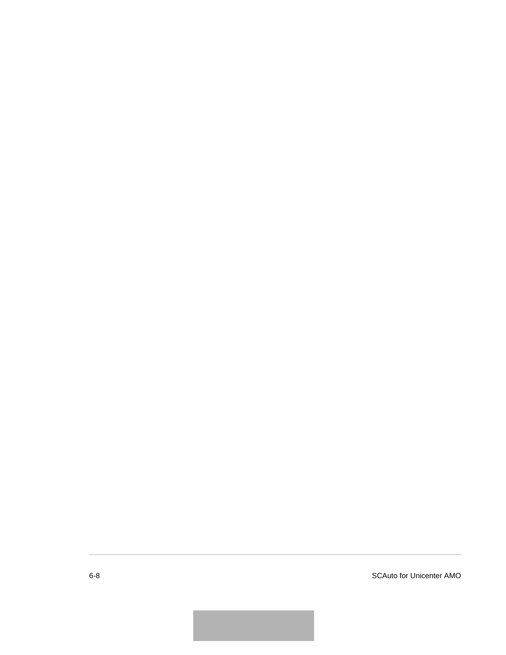6-8 SCAuto for Unicenter AMO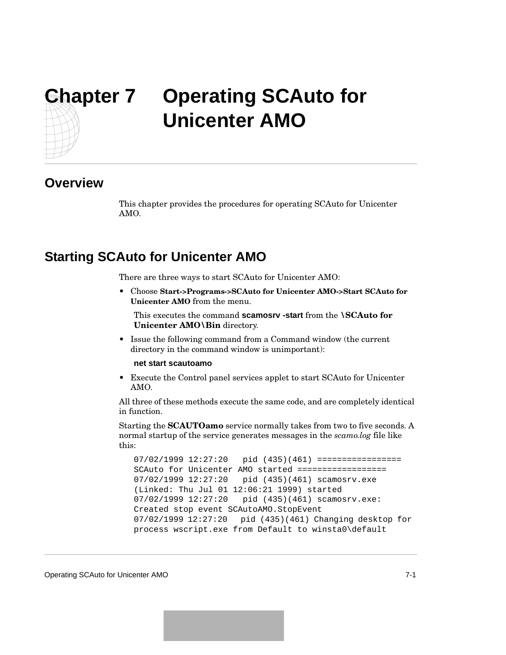<span id="page-54-0"></span>

# **Chapter 7 Operating SCAuto for Unicenter AMO**

# **Overview**

This chapter provides the procedures for operating SCAuto for Unicenter AMO.

# **Starting SCAuto for Unicenter AMO**

There are three ways to start SCAuto for Unicenter AMO:

• Choose **Start->Programs->SCAuto for Unicenter AMO->Start SCAuto for Unicenter AMO** from the menu.

This executes the command **scamosrv -start** from the **\SCAuto for Unicenter AMO\Bin** directory.

• Issue the following command from a Command window (the current directory in the command window is unimportant):

#### **net start scautoamo**

• Execute the Control panel services applet to start SCAuto for Unicenter AMO.

All three of these methods execute the same code, and are completely identical in function.

Starting the **SCAUTOamo** service normally takes from two to five seconds. A normal startup of the service generates messages in the *scamo.log* file like this:

07/02/1999 12:27:20 pid (435)(461) ================= SCAuto for Unicenter AMO started ================== 07/02/1999 12:27:20 pid (435)(461) scamosrv.exe (Linked: Thu Jul 01 12:06:21 1999) started 07/02/1999 12:27:20 pid (435)(461) scamosrv.exe: Created stop event SCAutoAMO.StopEvent 07/02/1999 12:27:20 pid (435)(461) Changing desktop for process wscript.exe from Default to winsta0\default

Operating SCAuto for Unicenter AMO 7-1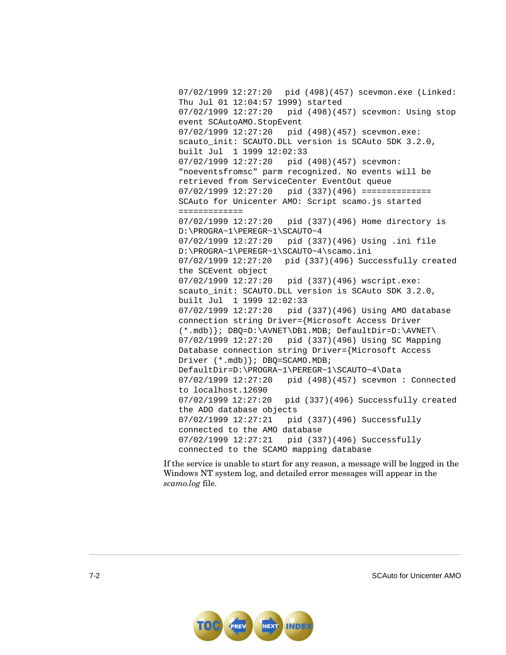<span id="page-55-0"></span>07/02/1999 12:27:20 pid (498)(457) scevmon.exe (Linked: Thu Jul 01 12:04:57 1999) started 07/02/1999 12:27:20 pid (498)(457) scevmon: Using stop event SCAutoAMO.StopEvent 07/02/1999 12:27:20 pid (498)(457) scevmon.exe: scauto init: SCAUTO.DLL version is SCAuto SDK 3.2.0, built Jul 1 1999 12:02:33 07/02/1999 12:27:20 pid (498)(457) scevmon: "noeventsfromsc" parm recognized. No events will be retrieved from ServiceCenter EventOut queue  $07/02/1999$  12:27:20 pid (337)(496) ============== SCAuto for Unicenter AMO: Script scamo.js started ============= 07/02/1999 12:27:20 pid (337)(496) Home directory is D:\PROGRA~1\PEREGR~1\SCAUTO~4 07/02/1999 12:27:20 pid (337)(496) Using .ini file D:\PROGRA~1\PEREGR~1\SCAUTO~4\scamo.ini 07/02/1999 12:27:20 pid (337)(496) Successfully created the SCEvent object 07/02/1999 12:27:20 pid (337)(496) wscript.exe: scauto init: SCAUTO.DLL version is SCAuto SDK 3.2.0, built Jul 1 1999 12:02:33 07/02/1999 12:27:20 pid (337)(496) Using AMO database connection string Driver={Microsoft Access Driver (\*.mdb)}; DBQ=D:\AVNET\DB1.MDB; DefaultDir=D:\AVNET\ 07/02/1999 12:27:20 pid (337)(496) Using SC Mapping Database connection string Driver={Microsoft Access Driver (\*.mdb)}; DBQ=SCAMO.MDB; DefaultDir=D:\PROGRA~1\PEREGR~1\SCAUTO~4\Data 07/02/1999 12:27:20 pid (498)(457) scevmon : Connected to localhost.12690 07/02/1999 12:27:20 pid (337)(496) Successfully created the ADO database objects 07/02/1999 12:27:21 pid (337)(496) Successfully connected to the AMO database 07/02/1999 12:27:21 pid (337)(496) Successfully connected to the SCAMO mapping database

If the service is unable to start for any reason, a message will be logged in the Windows NT system log, and detailed error messages will appear in the *scamo.log* file.

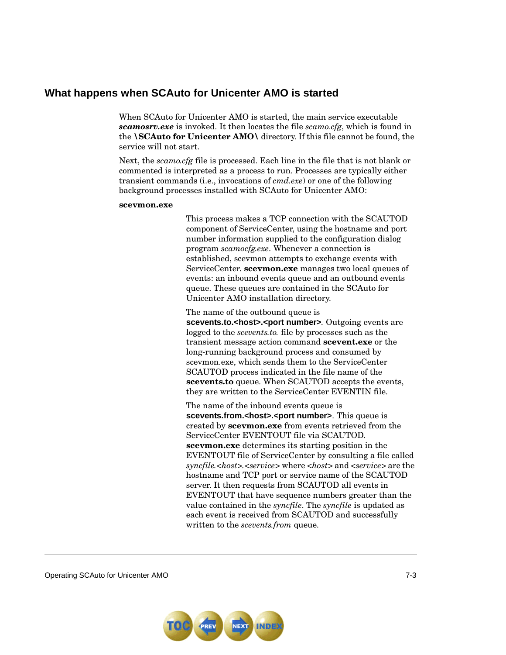### <span id="page-56-0"></span>**What happens when SCAuto for Unicenter AMO is started**

When SCAuto for Unicenter AMO is started, the main service executable *scamosrv.exe* is invoked. It then locates the file *scamo.cfg*, which is found in the **\SCAuto for Unicenter AMO\** directory. If this file cannot be found, the service will not start.

Next, the *scamo.cfg* file is processed. Each line in the file that is not blank or commented is interpreted as a process to run. Processes are typically either transient commands (i.e., invocations of *cmd.exe*) or one of the following background processes installed with SCAuto for Unicenter AMO:

#### **scevmon.exe**

This process makes a TCP connection with the SCAUTOD component of ServiceCenter, using the hostname and port number information supplied to the configuration dialog program *scamocfg.exe*. Whenever a connection is established, scevmon attempts to exchange events with ServiceCenter. **scevmon.exe** manages two local queues of events: an inbound events queue and an outbound events queue. These queues are contained in the SCAuto for Unicenter AMO installation directory.

The name of the outbound queue is

**scevents.to.<host>.<port number>***.* Outgoing events are logged to the *scevents.to.* file by processes such as the transient message action command **scevent.exe** or the long-running background process and consumed by scevmon.exe, which sends them to the ServiceCenter SCAUTOD process indicated in the file name of the **scevents.to** queue. When SCAUTOD accepts the events, they are written to the ServiceCenter EVENTIN file.

The name of the inbound events queue is scevents.from.<host>.<port number>. This queue is created by **scevmon.exe** from events retrieved from the ServiceCenter EVENTOUT file via SCAUTOD. **scevmon.exe** determines its starting position in the EVENTOUT file of ServiceCenter by consulting a file called *syncfile.<host>.<service>* where *<host>* and *<service>* are the hostname and TCP port or service name of the SCAUTOD server. It then requests from SCAUTOD all events in EVENTOUT that have sequence numbers greater than the value contained in the *syncfile*. The *syncfile* is updated as each event is received from SCAUTOD and successfully written to the *scevents.from* queue.

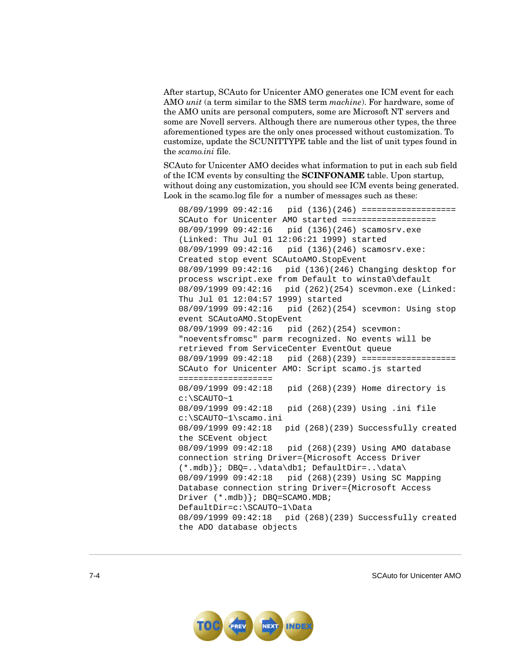<span id="page-57-0"></span>After startup, SCAuto for Unicenter AMO generates one ICM event for each AMO *unit* (a term similar to the SMS term *machine*). For hardware, some of the AMO units are personal computers, some are Microsoft NT servers and some are Novell servers. Although there are numerous other types, the three aforementioned types are the only ones processed without customization. To customize, update the SCUNITTYPE table and the list of unit types found in the *scamo.ini* file.

SCAuto for Unicenter AMO decides what information to put in each sub field of the ICM events by consulting the **SCINFONAME** table. Upon startup, without doing any customization, you should see ICM events being generated. Look in the scamo.log file for a number of messages such as these:

08/09/1999 09:42:16 pid (136)(246) =================== SCAuto for Unicenter AMO started =================== 08/09/1999 09:42:16 pid (136)(246) scamosrv.exe (Linked: Thu Jul 01 12:06:21 1999) started 08/09/1999 09:42:16 pid (136)(246) scamosrv.exe: Created stop event SCAutoAMO.StopEvent 08/09/1999 09:42:16 pid (136)(246) Changing desktop for process wscript.exe from Default to winsta0\default 08/09/1999 09:42:16 pid (262)(254) scevmon.exe (Linked: Thu Jul 01 12:04:57 1999) started 08/09/1999 09:42:16 pid (262)(254) scevmon: Using stop event SCAutoAMO.StopEvent 08/09/1999 09:42:16 pid (262)(254) scevmon: "noeventsfromsc" parm recognized. No events will be retrieved from ServiceCenter EventOut queue 08/09/1999 09:42:18 pid (268)(239) =================== SCAuto for Unicenter AMO: Script scamo.js started =================== 08/09/1999 09:42:18 pid (268)(239) Home directory is c:\SCAUTO~1 08/09/1999 09:42:18 pid (268)(239) Using .ini file c:\SCAUTO~1\scamo.ini 08/09/1999 09:42:18 pid (268)(239) Successfully created the SCEvent object 08/09/1999 09:42:18 pid (268)(239) Using AMO database connection string Driver={Microsoft Access Driver  $(*.\text{mdb})$ ; DBQ= $\ldots\data\db1$ ; DefaultDir=..\data\ 08/09/1999 09:42:18 pid (268)(239) Using SC Mapping Database connection string Driver={Microsoft Access Driver (\*.mdb)}; DBQ=SCAMO.MDB; DefaultDir=c:\SCAUTO~1\Data 08/09/1999 09:42:18 pid (268)(239) Successfully created the ADO database objects

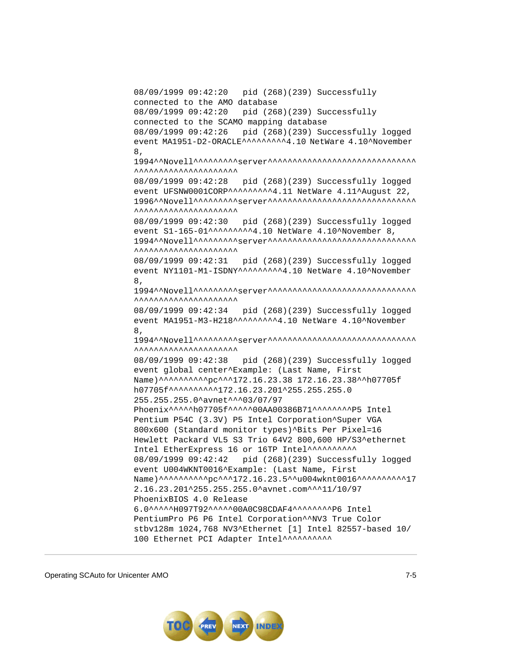```
08/09/1999 09:42:20 pid (268)(239) Successfully 
connected to the AMO database
08/09/1999 09:42:20 pid (268)(239) Successfully 
connected to the SCAMO mapping database
08/09/1999 09:42:26 pid (268)(239) Successfully logged 
event MA1951-D2-ORACLE^^^^^^^^^4.10 NetWare 4.10^November 
8, 
1994^^Novell^^^^^^^^^server^^^^^^^^^^^^^^^^^^^^^^^^^^^^^^
\lambda08/09/1999 09:42:28 pid (268)(239) Successfully logged 
event UFSNW0001CORP^^^^^^^^^^4.11 NetWare 4.11^August 22,
1996^^Novell^^^^^^^^^server^^^^^^^^^^^^^^^^^^^^^^^^^^^^^^
\begin{array}{c} \begin{array}{c} \begin{array}{c} \begin{array}{c} \end{array}\\ \begin{array}{c} \end{array}\\ \end{array} \end{array} \end{array}08/09/1999 09:42:30 pid (268)(239) Successfully logged 
event S1-165-01^^^^^^^^^4.10 NetWare 4.10^November 8,
1994^{\wedge\wedge N_{\text{O}}\text{vel}}1^{\wedge\wedge\wedge\wedge\wedge\wedge\wedge\wedge\wedge\text{se}}\begin{array}{c} \begin{array}{c} \begin{array}{c} \begin{array}{c} \end{array}\\ \begin{array}{c} \end{array}\\ \end{array} \end{array}08/09/1999 09:42:31 pid (268)(239) Successfully logged 
event NY1101-M1-ISDNY^^^^^^^^^4.10 NetWare 4.10^November
8, 
1994^^Novell^^^^^^^^^server^^^^^^^^^^^^^^^^^^^^^^^^^^^^^^
\begin{array}{c} \begin{array}{c} \begin{array}{c} \begin{array}{c} \end{array} \end{array} \end{array}08/09/1999 09:42:34 pid (268)(239) Successfully logged 
event MA1951-M3-H218^^^^^^^^^4.10 NetWare 4.10^November
8, 
1994^^Novell^^^^^^^^^server^^^^^^^^^^^^^^^^^^^^^^^^^^^^^^
\begin{array}{c} \begin{array}{c} \begin{array}{c} \begin{array}{c} \end{array}\\ \begin{array}{c} \end{array}\\ \end{array} \end{array} \end{array}08/09/1999 09:42:38 pid (268)(239) Successfully logged 
event global center^Example: (Last Name, First 
Name)^^^^^^^^^^^^pc^^^172.16.23.38 172.16.23.38^^h07705f
h07705f^^^^^^^^^^172.16.23.201^255.255.255.0
255.255.255.0^avnet^^^03/07/97 
Phoenix^^^^^h07705f^^^^^00AA00386B71^^^^^^^^P5 Intel 
Pentium P54C (3.3V) P5 Intel Corporation^Super VGA 
800x600 (Standard monitor types)^Bits Per Pixel=16 
Hewlett Packard VL5 S3 Trio 64V2 800,600 HP/S3^ethernet 
Intel EtherExpress 16 or 16TP Intel^^^^^^^^^^
08/09/1999 09:42:42 pid (268)(239) Successfully logged 
event U004WKNT0016^Example: (Last Name, First 
Name)^^^^^^^^^^^^pc^^^172.16.23.5^^u004wknt0016^^^^^^^^^^^^17
2.16.23.201^255.255.255.0^avnet.com^^^11/10/97 
PhoenixBIOS 4.0 Release 
6.0^^^^^H097T92^^^^^00A0C98CDAF4^^^^^^^^P6 Intel 
PentiumPro P6 P6 Intel Corporation^^NV3 True Color 
stbv128m 1024,768 NV3^Ethernet [1] Intel 82557-based 10/
100 Ethernet PCI Adapter Intel^^^^^^^^^^^^
```
Operating SCAuto for Unicenter AMO 7-5

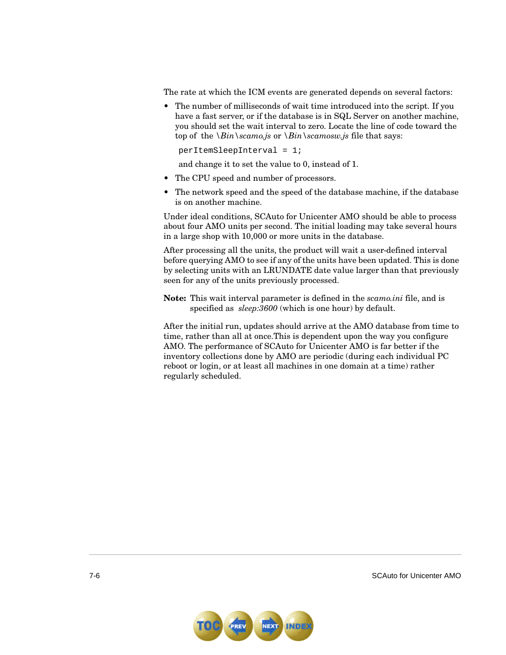<span id="page-59-0"></span>The rate at which the ICM events are generated depends on several factors:

• The number of milliseconds of wait time introduced into the script. If you have a fast server, or if the database is in SQL Server on another machine. you should set the wait interval to zero. Locate the line of code toward the top of the *\Bin\scamo.js* or *\Bin\scamosw.js* file that says:

perItemSleepInterval = 1;

and change it to set the value to 0, instead of 1.

- The CPU speed and number of processors.
- The network speed and the speed of the database machine, if the database is on another machine.

Under ideal conditions, SCAuto for Unicenter AMO should be able to process about four AMO units per second. The initial loading may take several hours in a large shop with 10,000 or more units in the database.

After processing all the units, the product will wait a user-defined interval before querying AMO to see if any of the units have been updated. This is done by selecting units with an LRUNDATE date value larger than that previously seen for any of the units previously processed.

**Note:** This wait interval parameter is defined in the *scamo.ini* file, and is specified as *sleep:3600* (which is one hour) by default.

After the initial run, updates should arrive at the AMO database from time to time, rather than all at once.This is dependent upon the way you configure AMO. The performance of SCAuto for Unicenter AMO is far better if the inventory collections done by AMO are periodic (during each individual PC reboot or login, or at least all machines in one domain at a time) rather regularly scheduled.



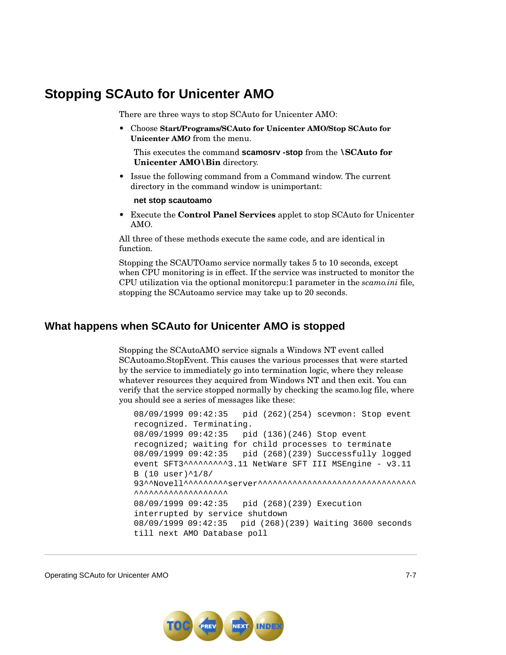# <span id="page-60-0"></span>**Stopping SCAuto for Unicenter AMO**

There are three ways to stop SCAuto for Unicenter AMO:

• Choose **Start/Programs/SCAuto for Unicenter AMO/Stop SCAuto for Unicenter AM***O* from the menu.

This executes the command **scamosrv -stop** from the **\SCAuto for Unicenter AMO\Bin** directory.

• Issue the following command from a Command window. The current directory in the command window is unimportant:

#### **net stop scautoamo**

• Execute the **Control Panel Services** applet to stop SCAuto for Unicenter AMO.

All three of these methods execute the same code, and are identical in function.

Stopping the SCAUTOamo service normally takes 5 to 10 seconds, except when CPU monitoring is in effect. If the service was instructed to monitor the CPU utilization via the optional monitorcpu:1 parameter in the *scamo.ini* file, stopping the SCAutoamo service may take up to 20 seconds.

### **What happens when SCAuto for Unicenter AMO is stopped**

Stopping the SCAutoAMO service signals a Windows NT event called SCAutoamo.StopEvent. This causes the various processes that were started by the service to immediately go into termination logic, where they release whatever resources they acquired from Windows NT and then exit. You can verify that the service stopped normally by checking the scamo.log file, where you should see a series of messages like these:

08/09/1999 09:42:35 pid (262)(254) scevmon: Stop event recognized. Terminating. 08/09/1999 09:42:35 pid (136)(246) Stop event recognized; waiting for child processes to terminate 08/09/1999 09:42:35 pid (268)(239) Successfully logged event SFT3^^^^^^^^^3.11 NetWare SFT III MSEngine - v3.11 B (10 user)^1/8/ 93^^Novell^^^^^^^^^server^^^^^^^^^^^^^^^^^^^^^^^^^^^^^^^^ \*\*\*\*\*\*\*\*\*\*\*\*\*\*\*\*\*\*\*\*\*\*\*\*\*\*\*\*\*\*\*\*\*\*\* 08/09/1999 09:42:35 pid (268)(239) Execution interrupted by service shutdown 08/09/1999 09:42:35 pid (268)(239) Waiting 3600 seconds till next AMO Database poll

Operating SCAuto for Unicenter AMO 7-7

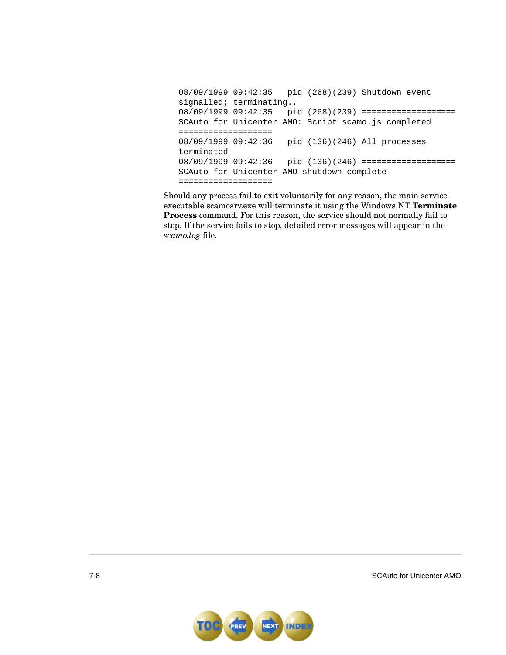```
08/09/1999 09:42:35 pid (268)(239) Shutdown event 
signalled; terminating..
08/09/1999 09:42:35     pid (268)(239) ===================
SCAuto for Unicenter AMO: Script scamo.js completed 
===================
08/09/1999 09:42:36 pid (136)(246) All processes 
terminated
08/09/1999 09:42:36     pid (136)(246) ===================
SCAuto for Unicenter AMO shutdown complete 
===================
```
Should any process fail to exit voluntarily for any reason, the main service executable scamosrv.exe will terminate it using the Windows NT **Terminate Process** command. For this reason, the service should not normally fail to stop. If the service fails to stop, detailed error messages will appear in the *scamo.log* file.

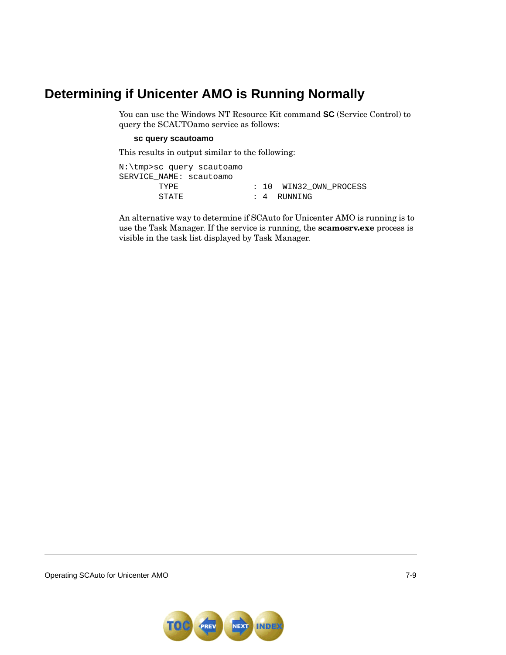# <span id="page-62-0"></span>**Determining if Unicenter AMO is Running Normally**

You can use the Windows NT Resource Kit command **SC** (Service Control) to query the SCAUTOamo service as follows:

#### **sc query scautoamo**

This results in output similar to the following:

| N:\tmp>sc query scautoamo |  |                        |
|---------------------------|--|------------------------|
| SERVICE NAME: scautoamo   |  |                        |
| TYPF.                     |  | : 10 WIN32 OWN PROCESS |
| STATE.                    |  | : 4 RUNNING            |
|                           |  |                        |

An alternative way to determine if SCAuto for Unicenter AMO is running is to use the Task Manager. If the service is running, the **scamosrv.exe** process is visible in the task list displayed by Task Manager.

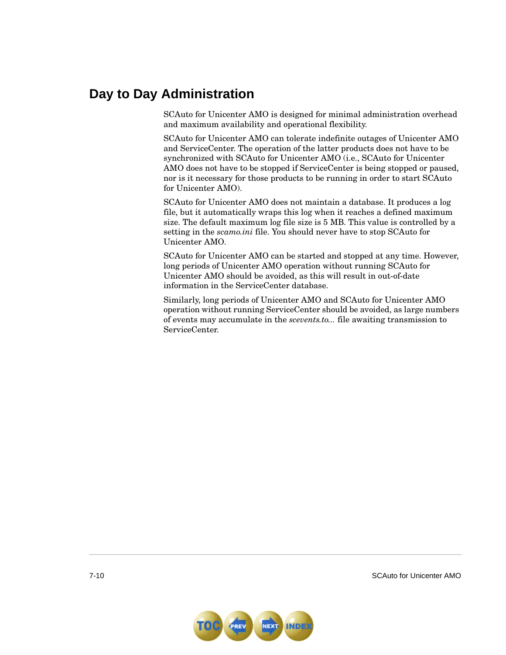# <span id="page-63-0"></span>**Day to Day Administration**

SCAuto for Unicenter AMO is designed for minimal administration overhead and maximum availability and operational flexibility.

SCAuto for Unicenter AMO can tolerate indefinite outages of Unicenter AMO and ServiceCenter. The operation of the latter products does not have to be synchronized with SCAuto for Unicenter AMO (i.e., SCAuto for Unicenter AMO does not have to be stopped if ServiceCenter is being stopped or paused, nor is it necessary for those products to be running in order to start SCAuto for Unicenter AMO).

SCAuto for Unicenter AMO does not maintain a database. It produces a log file, but it automatically wraps this log when it reaches a defined maximum size. The default maximum log file size is 5 MB. This value is controlled by a setting in the *scamo.ini* file. You should never have to stop SCAuto for Unicenter AMO.

SCAuto for Unicenter AMO can be started and stopped at any time. However, long periods of Unicenter AMO operation without running SCAuto for Unicenter AMO should be avoided, as this will result in out-of-date information in the ServiceCenter database.

Similarly, long periods of Unicenter AMO and SCAuto for Unicenter AMO operation without running ServiceCenter should be avoided, as large numbers of events may accumulate in the *scevents.to...* file awaiting transmission to ServiceCenter.

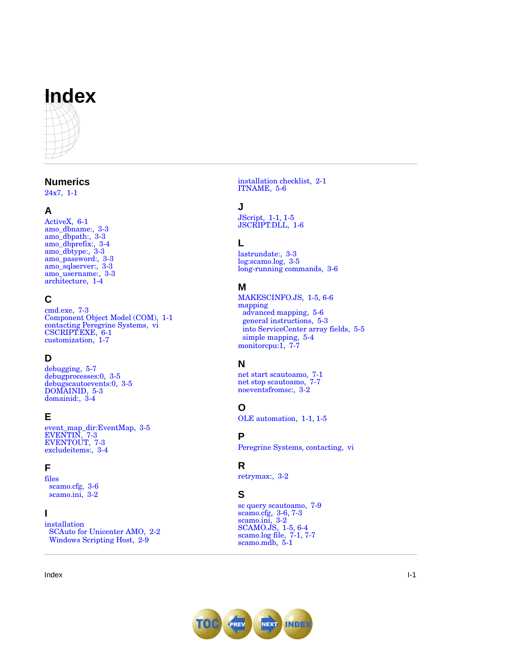# <span id="page-64-0"></span>**Index**



### **Numerics**

[24x7, 1-1](#page-10-0)

### **A**

[ActiveX, 6-1](#page-46-0) [amo\\_dbname:, 3-3](#page-30-0) [amo\\_dbpath:, 3-3](#page-30-0) [amo\\_dbprefix:, 3-4](#page-31-0) [amo\\_dbtype:, 3-3](#page-30-0) [amo\\_password:, 3-3](#page-30-0) [amo\\_sqlserver:, 3-3](#page-30-0) [amo\\_username:, 3-3](#page-30-0) [architecture, 1-4](#page-13-0)

# **C**

[cmd.exe, 7-3](#page-56-0) [Component Object Model \(COM\), 1-1](#page-10-0) [contacting Peregrine Systems, vi](#page-7-0) [CSCRIPT.EXE, 6-1](#page-46-0) [customization, 1-7](#page-16-0)

### **D**

[debugging, 5-7](#page-42-0) [debugprocesses:0, 3-5](#page-32-0) [debugscautoevents:0, 3-5](#page-32-0) [DOMAINID, 5-3](#page-38-0) [domainid:, 3-4](#page-31-0)

### **E**

[event\\_map\\_dir:EventMap, 3-5](#page-32-0) [EVENTIN, 7-3](#page-56-0) [EVENTOUT, 7-3](#page-56-0) [excludeitems:, 3-4](#page-31-0)

### **F**

files [scamo.cfg, 3-6](#page-33-0) [scamo.ini, 3-2](#page-29-0)

### **I**

installation [SCAuto for Unicenter AMO, 2-2](#page-19-0) [Windows Scripting Host, 2-9](#page-26-0)

Index I-1

[installation checklist, 2-1](#page-18-0) [ITNAME, 5-6](#page-41-0)

### **J**

[JScript, 1-1,](#page-10-0) [1-5](#page-14-0) [JSCRIPT.DLL, 1-6](#page-15-0)

### **L**

[lastrundate:, 3-3](#page-30-0) [log:scamo.log, 3-5](#page-32-0) [long-running commands, 3-6](#page-33-0)

### **M**

[MAKESCINFO.JS, 1-5,](#page-14-0) [6-6](#page-51-0) mapping [advanced mapping, 5-6](#page-41-0) [general instructions, 5-3](#page-38-0) [into ServiceCenter array fields, 5-5](#page-40-0) [simple mapping, 5-4](#page-39-0) [monitorcpu:1, 7-7](#page-60-0)

### **N**

[net start scautoamo, 7-1](#page-54-0) [net stop scautoamo, 7-7](#page-60-0) [noeventsfromsc:, 3-2](#page-29-0)

### **O**

[OLE automation, 1-1,](#page-10-0) [1-5](#page-14-0)

### **P**

[Peregrine Systems, contacting, vi](#page-7-0)

### **R**

[retrymax:, 3-2](#page-29-0)

### **S**

[sc query scautoamo, 7-9](#page-62-0) [scamo.cfg, 3-6,](#page-33-0) [7-3](#page-56-0) [scamo.ini, 3-2](#page-29-0) [SCAMO.JS, 1-5,](#page-14-0) [6-4](#page-49-0) scamo.log file,  $7-1$ , [7-7](#page-60-0) [scamo.mdb, 5-1](#page-36-0)

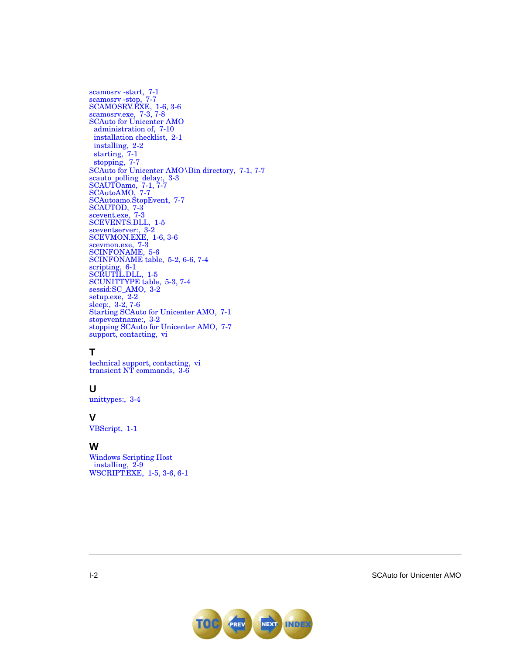[scamosrv -start, 7-1](#page-54-0) [scamosrv -stop, 7-7](#page-60-0) [SCAMOSRV.EXE, 1-6,](#page-15-0) [3-6](#page-33-0) [scamosrv.exe, 7-3,](#page-56-0) [7-8](#page-61-0) SCAuto for Unicenter AMO [administration of, 7-10](#page-63-0) [installation checklist, 2-1](#page-18-0) [installing, 2-2](#page-19-0) [starting, 7-1](#page-54-0) [stopping, 7-7](#page-60-0) [SCAuto for Unicenter AMO\Bin directory, 7-1,](#page-54-0) [7-7](#page-60-0) [scauto\\_polling\\_delay:, 3-3](#page-30-0) [SCAUTOamo, 7-1,](#page-54-0) [7-7](#page-60-0) [SCAutoAMO, 7-7](#page-60-0) [SCAutoamo.StopEvent, 7-7](#page-60-0) [SCAUTOD, 7-3](#page-56-0) [scevent.exe, 7-3](#page-56-0) [SCEVENTS.DLL, 1-5](#page-14-0) [sceventserver:, 3-2](#page-29-0) [SCEVMON.EXE, 1-6,](#page-15-0) [3-6](#page-33-0) [scevmon.exe, 7-3](#page-56-0) [SCINFONAME, 5-6](#page-41-0) [SCINFONAME table, 5-2,](#page-37-0) [6-6,](#page-51-0) [7-4](#page-57-0) [scripting, 6-1](#page-46-0) [SCRUTIL.DLL, 1-5](#page-14-0) [SCUNITTYPE table, 5-3,](#page-38-0) [7-4](#page-57-0) [sessid:SC\\_AMO, 3-2](#page-29-0) [setup.exe, 2-2](#page-19-0) [sleep:, 3-2,](#page-29-0) [7-6](#page-59-0) [Starting SCAuto for Unicenter AMO, 7-1](#page-54-0) [stopeventname:, 3-2](#page-29-0) [stopping SCAuto for Unicenter AMO, 7-7](#page-60-0) [support, contacting, vi](#page-7-0)

### **T**

[technical support, contacting, vi](#page-7-0) [transient NT commands, 3-6](#page-33-0)

### **U**

[unittypes:, 3-4](#page-31-0)

### **V**

[VBScript, 1-1](#page-10-0)

### **W**

Windows Scripting Host [installing, 2-9](#page-26-0) [WSCRIPT.EXE, 1-5,](#page-14-0) [3-6,](#page-33-0) [6-1](#page-46-0)